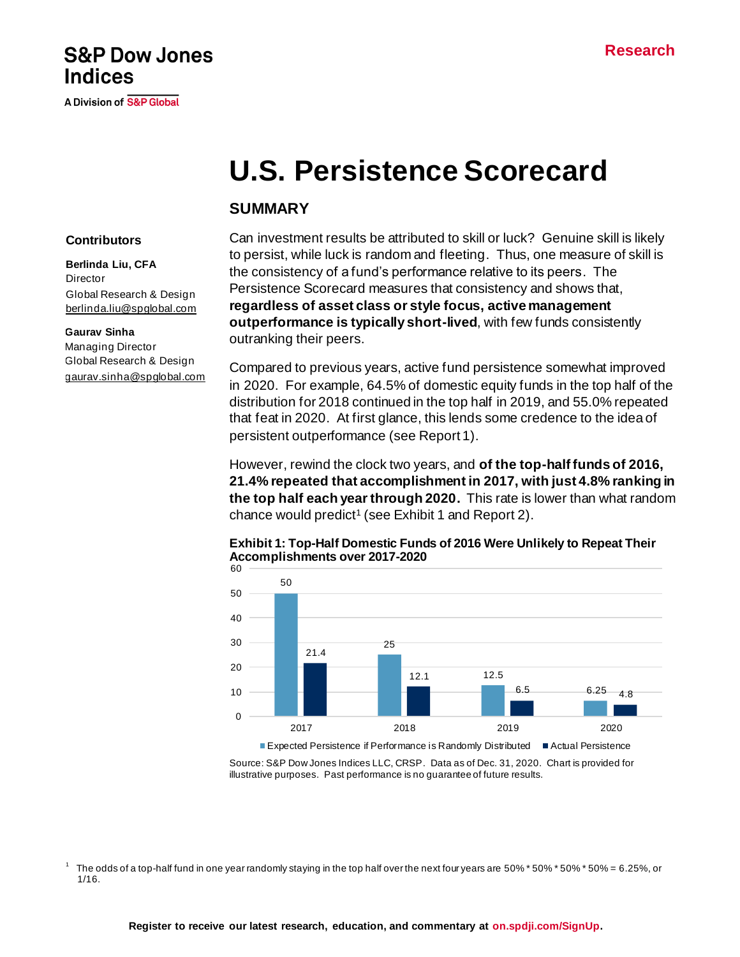## **S&P Dow Jones Indices**

A Division of S&P Global

# **U.S. Persistence Scorecard**

## **SUMMARY**

#### **Contributors**

**Berlinda Liu, CFA Director** Global Research & Design [berlinda.liu@spglobal.com](mailto:berlinda.liu@spglobal.com)

#### **Gaurav Sinha**

Managing Director Global Research & Design [gaurav.sinha@spglobal.com](mailto:berlinda.liu@spglobal.com) Can investment results be attributed to skill or luck? Genuine skill is likely to persist, while luck is random and fleeting. Thus, one measure of skill is the consistency of a fund's performance relative to its peers. The Persistence Scorecard measures that consistency and shows that, **regardless of asset class or style focus, active management outperformance is typically short-lived**, with few funds consistently outranking their peers.

Compared to previous years, active fund persistence somewhat improved in 2020. For example, 64.5% of domestic equity funds in the top half of the distribution for 2018 continued in the top half in 2019, and 55.0% repeated that feat in 2020. At first glance, this lends some credence to the idea of persistent outperformance (see Report 1).

However, rewind the clock two years, and **of the top-half funds of 2016, 21.4% repeated that accomplishment in 2017, with just 4.8% ranking in the top half each year through 2020.** This rate is lower than what random chance would predict<sup>1</sup> (see Exhibit 1 and Report 2).

#### **Exhibit 1: Top-Half Domestic Funds of 2016 Were Unlikely to Repeat Their Accomplishments over 2017-2020**



Source: S&P Dow Jones Indices LLC, CRSP. Data as of Dec. 31, 2020. Chart is provided for illustrative purposes. Past performance is no guarantee of future results.

1 The odds of a top-half fund in one year randomly staying in the top half over the next four years are 50% \* 50% \* 50% \* 50% = 6.25%, or 1/16.

**Register to receive our latest research, education, and commentary at [on.spdji.com/SignUp.](https://on.spdji.com/SignUp.html?src=DocFooters)**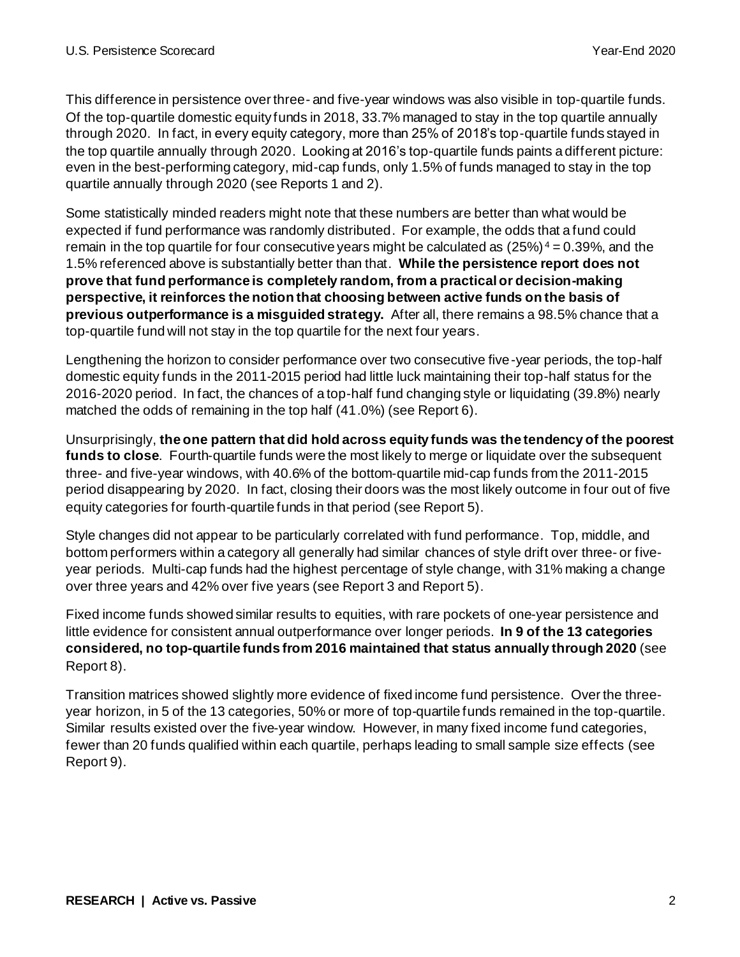This difference in persistence over three- and five-year windows was also visible in top-quartile funds. Of the top-quartile domestic equity funds in 2018, 33.7% managed to stay in the top quartile annually through 2020. In fact, in every equity category, more than 25% of 2018's top-quartile funds stayed in the top quartile annually through 2020. Looking at 2016's top-quartile funds paints a different picture: even in the best-performing category, mid-cap funds, only 1.5% of funds managed to stay in the top quartile annually through 2020 (see Reports 1 and 2).

Some statistically minded readers might note that these numbers are better than what would be expected if fund performance was randomly distributed. For example, the odds that a fund could remain in the top quartile for four consecutive years might be calculated as  $(25%)^4 = 0.39%$ , and the 1.5% referenced above is substantially better than that. **While the persistence report does not prove that fund performance is completely random, from a practical or decision-making perspective, it reinforces the notion that choosing between active funds on the basis of previous outperformance is a misguided strategy.** After all, there remains a 98.5% chance that a top-quartile fund will not stay in the top quartile for the next four years.

Lengthening the horizon to consider performance over two consecutive five-year periods, the top-half domestic equity funds in the 2011-2015 period had little luck maintaining their top-half status for the 2016-2020 period. In fact, the chances of a top-half fund changing style or liquidating (39.8%) nearly matched the odds of remaining in the top half (41.0%) (see Report 6).

Unsurprisingly, **the one pattern that did hold across equity funds was the tendency of the poorest funds to close**. Fourth-quartile funds were the most likely to merge or liquidate over the subsequent three- and five-year windows, with 40.6% of the bottom-quartile mid-cap funds from the 2011-2015 period disappearing by 2020. In fact, closing their doors was the most likely outcome in four out of five equity categories for fourth-quartile funds in that period (see Report 5).

Style changes did not appear to be particularly correlated with fund performance. Top, middle, and bottom performers within a category all generally had similar chances of style drift over three- or fiveyear periods. Multi-cap funds had the highest percentage of style change, with 31% making a change over three years and 42% over five years (see Report 3 and Report 5).

Fixed income funds showed similar results to equities, with rare pockets of one-year persistence and little evidence for consistent annual outperformance over longer periods. **In 9 of the 13 categories considered, no top-quartile funds from 2016 maintained that status annually through 2020** (see Report 8).

Transition matrices showed slightly more evidence of fixed income fund persistence. Over the threeyear horizon, in 5 of the 13 categories, 50% or more of top-quartile funds remained in the top-quartile. Similar results existed over the five-year window. However, in many fixed income fund categories, fewer than 20 funds qualified within each quartile, perhaps leading to small sample size effects (see Report 9).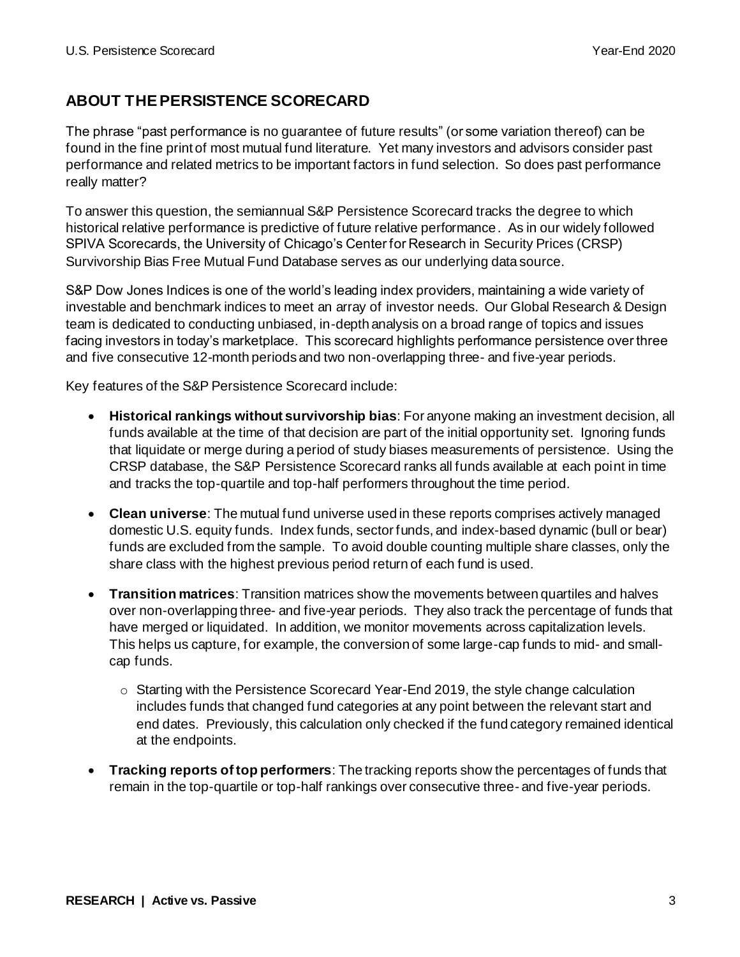## **ABOUT THE PERSISTENCE SCORECARD**

The phrase "past performance is no guarantee of future results" (or some variation thereof) can be found in the fine print of most mutual fund literature. Yet many investors and advisors consider past performance and related metrics to be important factors in fund selection. So does past performance really matter?

To answer this question, the semiannual S&P Persistence Scorecard tracks the degree to which historical relative performance is predictive of future relative performance. As in our widely followed SPIVA Scorecards, the University of Chicago's Center for Research in Security Prices (CRSP) Survivorship Bias Free Mutual Fund Database serves as our underlying data source.

S&P Dow Jones Indices is one of the world's leading index providers, maintaining a wide variety of investable and benchmark indices to meet an array of investor needs. Our Global Research & Design team is dedicated to conducting unbiased, in-depth analysis on a broad range of topics and issues facing investors in today's marketplace. This scorecard highlights performance persistence over three and five consecutive 12-month periods and two non-overlapping three- and five-year periods.

Key features of the S&P Persistence Scorecard include:

- **Historical rankings without survivorship bias**: For anyone making an investment decision, all funds available at the time of that decision are part of the initial opportunity set. Ignoring funds that liquidate or merge during a period of study biases measurements of persistence. Using the CRSP database, the S&P Persistence Scorecard ranks all funds available at each point in time and tracks the top-quartile and top-half performers throughout the time period.
- **Clean universe**: The mutual fund universe used in these reports comprises actively managed domestic U.S. equity funds. Index funds, sector funds, and index-based dynamic (bull or bear) funds are excluded from the sample. To avoid double counting multiple share classes, only the share class with the highest previous period return of each fund is used.
- **Transition matrices**: Transition matrices show the movements between quartiles and halves over non-overlapping three- and five-year periods. They also track the percentage of funds that have merged or liquidated. In addition, we monitor movements across capitalization levels. This helps us capture, for example, the conversion of some large-cap funds to mid- and smallcap funds.
	- o Starting with the Persistence Scorecard Year-End 2019, the style change calculation includes funds that changed fund categories at any point between the relevant start and end dates. Previously, this calculation only checked if the fund category remained identical at the endpoints.
- **Tracking reports of top performers**: The tracking reports show the percentages of funds that remain in the top-quartile or top-half rankings over consecutive three- and five-year periods.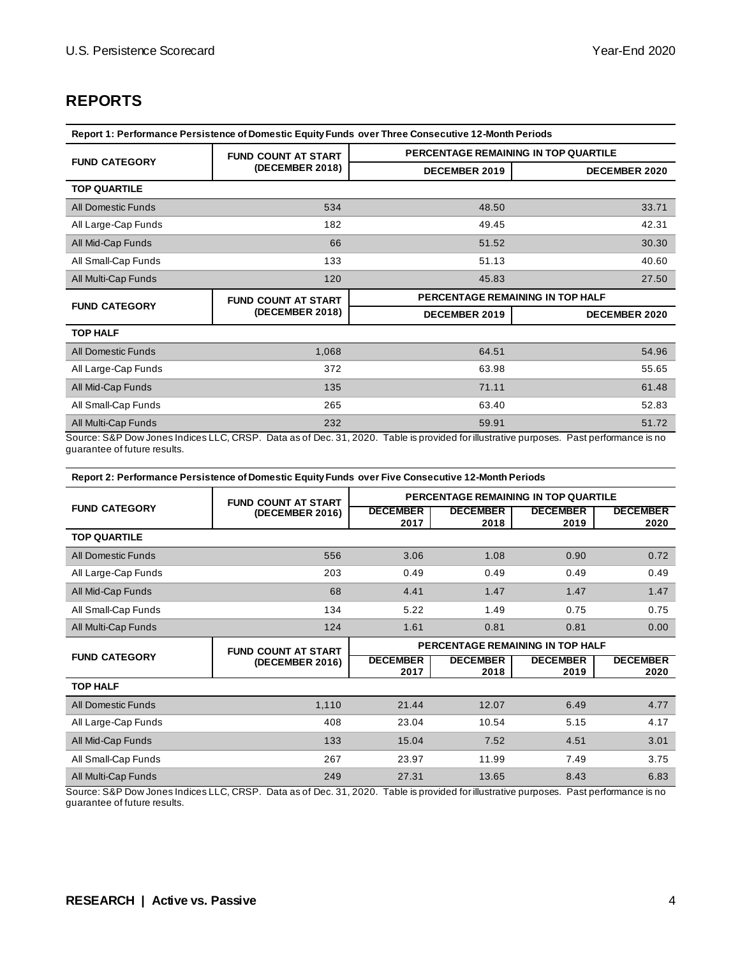## **REPORTS**

| Report 1: Performance Persistence of Domestic Equity Funds over Three Consecutive 12-Month Periods |                            |                                      |                      |  |  |  |  |  |
|----------------------------------------------------------------------------------------------------|----------------------------|--------------------------------------|----------------------|--|--|--|--|--|
|                                                                                                    | <b>FUND COUNT AT START</b> | PERCENTAGE REMAINING IN TOP QUARTILE |                      |  |  |  |  |  |
| <b>FUND CATEGORY</b>                                                                               | (DECEMBER 2018)            | <b>DECEMBER 2019</b>                 | <b>DECEMBER 2020</b> |  |  |  |  |  |
| <b>TOP QUARTILE</b>                                                                                |                            |                                      |                      |  |  |  |  |  |
| <b>All Domestic Funds</b>                                                                          | 534                        | 48.50                                | 33.71                |  |  |  |  |  |
| All Large-Cap Funds                                                                                | 182                        | 49.45                                | 42.31                |  |  |  |  |  |
| All Mid-Cap Funds                                                                                  | 66                         | 51.52                                | 30.30                |  |  |  |  |  |
| All Small-Cap Funds                                                                                | 133                        | 51.13                                | 40.60                |  |  |  |  |  |
| All Multi-Cap Funds                                                                                | 120                        | 45.83                                | 27.50                |  |  |  |  |  |
| <b>FUND CATEGORY</b>                                                                               | <b>FUND COUNT AT START</b> | PERCENTAGE REMAINING IN TOP HALF     |                      |  |  |  |  |  |
|                                                                                                    | (DECEMBER 2018)            | <b>DECEMBER 2019</b>                 | <b>DECEMBER 2020</b> |  |  |  |  |  |
|                                                                                                    |                            |                                      |                      |  |  |  |  |  |
| <b>TOP HALF</b>                                                                                    |                            |                                      |                      |  |  |  |  |  |
| <b>All Domestic Funds</b>                                                                          | 1,068                      | 64.51                                | 54.96                |  |  |  |  |  |
| All Large-Cap Funds                                                                                | 372                        | 63.98                                | 55.65                |  |  |  |  |  |
| All Mid-Cap Funds                                                                                  | 135                        | 71.11                                | 61.48                |  |  |  |  |  |
| All Small-Cap Funds                                                                                | 265                        | 63.40                                | 52.83                |  |  |  |  |  |
| All Multi-Cap Funds                                                                                | 232                        | 59.91                                | 51.72                |  |  |  |  |  |

guarantee of future results.

**Report 2: Performance Persistence of Domestic Equity Funds over Five Consecutive 12-Month Periods**

|                           | <b>FUND COUNT AT START</b> | PERCENTAGE REMAINING IN TOP QUARTILE |                         |                                  |                         |  |
|---------------------------|----------------------------|--------------------------------------|-------------------------|----------------------------------|-------------------------|--|
| <b>FUND CATEGORY</b>      | (DECEMBER 2016)            | <b>DECEMBER</b><br>2017              | <b>DECEMBER</b><br>2018 | <b>DECEMBER</b><br>2019          | <b>DECEMBER</b><br>2020 |  |
| <b>TOP QUARTILE</b>       |                            |                                      |                         |                                  |                         |  |
| <b>All Domestic Funds</b> | 556                        | 3.06                                 | 1.08                    | 0.90                             | 0.72                    |  |
| All Large-Cap Funds       | 203                        | 0.49                                 | 0.49                    | 0.49                             | 0.49                    |  |
| All Mid-Cap Funds         | 68                         | 4.41                                 | 1.47                    | 1.47                             | 1.47                    |  |
| All Small-Cap Funds       | 134                        | 5.22                                 | 1.49                    | 0.75                             | 0.75                    |  |
| All Multi-Cap Funds       | 124                        | 1.61                                 | 0.81                    | 0.81                             | 0.00                    |  |
|                           |                            |                                      |                         |                                  |                         |  |
|                           | <b>FUND COUNT AT START</b> |                                      |                         | PERCENTAGE REMAINING IN TOP HALF |                         |  |
| <b>FUND CATEGORY</b>      | (DECEMBER 2016)            | <b>DECEMBER</b><br>2017              | <b>DECEMBER</b><br>2018 | <b>DECEMBER</b><br>2019          | <b>DECEMBER</b><br>2020 |  |
| <b>TOP HALF</b>           |                            |                                      |                         |                                  |                         |  |
| <b>All Domestic Funds</b> | 1,110                      | 21.44                                | 12.07                   | 6.49                             | 4.77                    |  |
| All Large-Cap Funds       | 408                        | 23.04                                | 10.54                   | 5.15                             | 4.17                    |  |
| All Mid-Cap Funds         | 133                        | 15.04                                | 7.52                    | 4.51                             | 3.01                    |  |
| All Small-Cap Funds       | 267                        | 23.97                                | 11.99                   | 7.49                             | 3.75                    |  |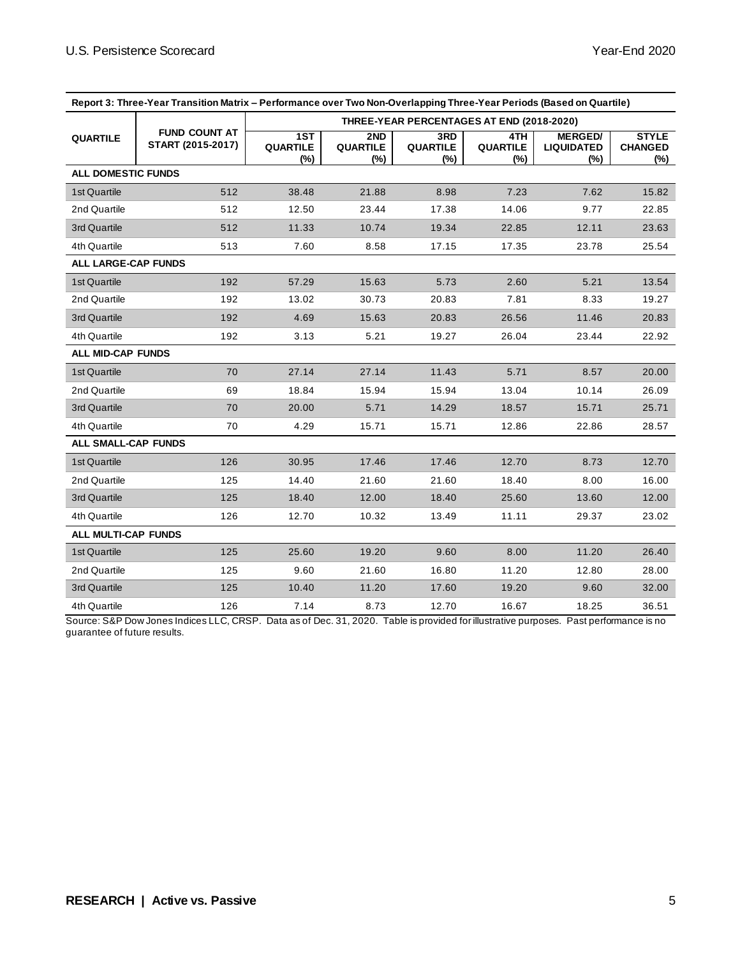| Report 3: Three-Year Transition Matrix – Performance over Two Non-Overlapping Three-Year Periods (Based on Quartile) |                                           |                                  |                               |                               |                                           |                                            |                                       |
|----------------------------------------------------------------------------------------------------------------------|-------------------------------------------|----------------------------------|-------------------------------|-------------------------------|-------------------------------------------|--------------------------------------------|---------------------------------------|
|                                                                                                                      |                                           |                                  |                               |                               | THREE-YEAR PERCENTAGES AT END (2018-2020) |                                            |                                       |
| <b>QUARTILE</b>                                                                                                      | <b>FUND COUNT AT</b><br>START (2015-2017) | 1ST<br><b>QUARTILE</b><br>$(\%)$ | 2ND<br><b>QUARTILE</b><br>(%) | 3RD<br><b>QUARTILE</b><br>(%) | 4TH<br><b>QUARTILE</b><br>(%)             | <b>MERGED/</b><br><b>LIQUIDATED</b><br>(%) | <b>STYLE</b><br><b>CHANGED</b><br>(%) |
| <b>ALL DOMESTIC FUNDS</b>                                                                                            |                                           |                                  |                               |                               |                                           |                                            |                                       |
| 1st Quartile                                                                                                         | 512                                       | 38.48                            | 21.88                         | 8.98                          | 7.23                                      | 7.62                                       | 15.82                                 |
| 2nd Quartile                                                                                                         | 512                                       | 12.50                            | 23.44                         | 17.38                         | 14.06                                     | 9.77                                       | 22.85                                 |
| 3rd Quartile                                                                                                         | 512                                       | 11.33                            | 10.74                         | 19.34                         | 22.85                                     | 12.11                                      | 23.63                                 |
| 4th Quartile                                                                                                         | 513                                       | 7.60                             | 8.58                          | 17.15                         | 17.35                                     | 23.78                                      | 25.54                                 |
| <b>ALL LARGE-CAP FUNDS</b>                                                                                           |                                           |                                  |                               |                               |                                           |                                            |                                       |
| 1st Quartile                                                                                                         | 192                                       | 57.29                            | 15.63                         | 5.73                          | 2.60                                      | 5.21                                       | 13.54                                 |
| 2nd Quartile                                                                                                         | 192                                       | 13.02                            | 30.73                         | 20.83                         | 7.81                                      | 8.33                                       | 19.27                                 |
| 3rd Quartile                                                                                                         | 192                                       | 4.69                             | 15.63                         | 20.83                         | 26.56                                     | 11.46                                      | 20.83                                 |
| 4th Quartile                                                                                                         | 192                                       | 3.13                             | 5.21                          | 19.27                         | 26.04                                     | 23.44                                      | 22.92                                 |
| <b>ALL MID-CAP FUNDS</b>                                                                                             |                                           |                                  |                               |                               |                                           |                                            |                                       |
| 1st Quartile                                                                                                         | 70                                        | 27.14                            | 27.14                         | 11.43                         | 5.71                                      | 8.57                                       | 20.00                                 |
| 2nd Quartile                                                                                                         | 69                                        | 18.84                            | 15.94                         | 15.94                         | 13.04                                     | 10.14                                      | 26.09                                 |
| 3rd Quartile                                                                                                         | 70                                        | 20.00                            | 5.71                          | 14.29                         | 18.57                                     | 15.71                                      | 25.71                                 |
| 4th Quartile                                                                                                         | 70                                        | 4.29                             | 15.71                         | 15.71                         | 12.86                                     | 22.86                                      | 28.57                                 |
| ALL SMALL-CAP FUNDS                                                                                                  |                                           |                                  |                               |                               |                                           |                                            |                                       |
| 1st Quartile                                                                                                         | 126                                       | 30.95                            | 17.46                         | 17.46                         | 12.70                                     | 8.73                                       | 12.70                                 |
| 2nd Quartile                                                                                                         | 125                                       | 14.40                            | 21.60                         | 21.60                         | 18.40                                     | 8.00                                       | 16.00                                 |
| 3rd Quartile                                                                                                         | 125                                       | 18.40                            | 12.00                         | 18.40                         | 25.60                                     | 13.60                                      | 12.00                                 |
| 4th Quartile                                                                                                         | 126                                       | 12.70                            | 10.32                         | 13.49                         | 11.11                                     | 29.37                                      | 23.02                                 |
| <b>ALL MULTI-CAP FUNDS</b>                                                                                           |                                           |                                  |                               |                               |                                           |                                            |                                       |
| 1st Quartile                                                                                                         | 125                                       | 25.60                            | 19.20                         | 9.60                          | 8.00                                      | 11.20                                      | 26.40                                 |
| 2nd Quartile                                                                                                         | 125                                       | 9.60                             | 21.60                         | 16.80                         | 11.20                                     | 12.80                                      | 28.00                                 |
| 3rd Quartile                                                                                                         | 125                                       | 10.40                            | 11.20                         | 17.60                         | 19.20                                     | 9.60                                       | 32.00                                 |
| 4th Quartile                                                                                                         | 126                                       | 7.14                             | 8.73                          | 12.70                         | 16.67                                     | 18.25                                      | 36.51                                 |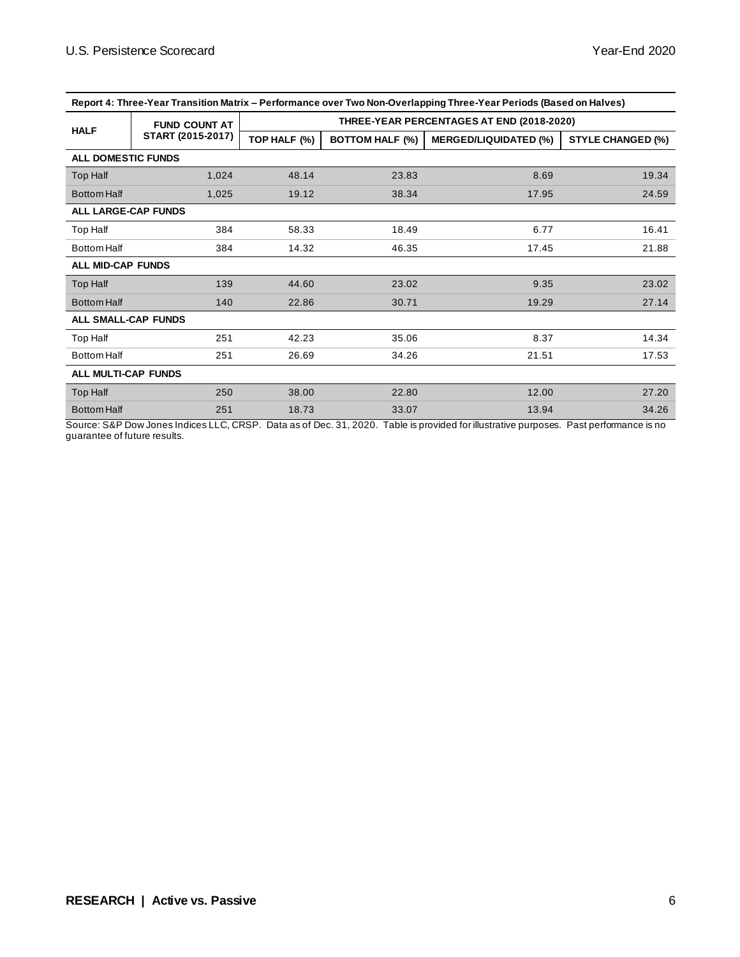| Report 4: Three-Year Transition Matrix – Performance over Two Non-Overlapping Three-Year Periods (Based on Halves) |                      |              |                        |                                           |                          |  |  |  |
|--------------------------------------------------------------------------------------------------------------------|----------------------|--------------|------------------------|-------------------------------------------|--------------------------|--|--|--|
|                                                                                                                    | <b>FUND COUNT AT</b> |              |                        | THREE-YEAR PERCENTAGES AT END (2018-2020) |                          |  |  |  |
| <b>HALF</b>                                                                                                        | START (2015-2017)    | TOP HALF (%) | <b>BOTTOM HALF (%)</b> | <b>MERGED/LIQUIDATED (%)</b>              | <b>STYLE CHANGED (%)</b> |  |  |  |
| <b>ALL DOMESTIC FUNDS</b>                                                                                          |                      |              |                        |                                           |                          |  |  |  |
| Top Half                                                                                                           | 1,024                | 48.14        | 23.83                  | 8.69                                      | 19.34                    |  |  |  |
| <b>Bottom Half</b>                                                                                                 | 1,025                | 19.12        | 38.34                  | 17.95                                     | 24.59                    |  |  |  |
| <b>ALL LARGE-CAP FUNDS</b>                                                                                         |                      |              |                        |                                           |                          |  |  |  |
| Top Half                                                                                                           | 384                  | 58.33        | 18.49                  | 6.77                                      | 16.41                    |  |  |  |
| <b>Bottom Half</b>                                                                                                 | 384                  | 14.32        | 46.35                  | 17.45                                     | 21.88                    |  |  |  |
| <b>ALL MID-CAP FUNDS</b>                                                                                           |                      |              |                        |                                           |                          |  |  |  |
| Top Half                                                                                                           | 139                  | 44.60        | 23.02                  | 9.35                                      | 23.02                    |  |  |  |
| <b>Bottom Half</b>                                                                                                 | 140                  | 22.86        | 30.71                  | 19.29                                     | 27.14                    |  |  |  |
| <b>ALL SMALL-CAP FUNDS</b>                                                                                         |                      |              |                        |                                           |                          |  |  |  |
| Top Half                                                                                                           | 251                  | 42.23        | 35.06                  | 8.37                                      | 14.34                    |  |  |  |
| <b>Bottom Half</b>                                                                                                 | 251                  | 26.69        | 34.26                  | 21.51                                     | 17.53                    |  |  |  |
| ALL MULTI-CAP FUNDS                                                                                                |                      |              |                        |                                           |                          |  |  |  |
| Top Half                                                                                                           | 250                  | 38.00        | 22.80                  | 12.00                                     | 27.20                    |  |  |  |
| <b>Bottom Half</b>                                                                                                 | 251                  | 18.73        | 33.07                  | 13.94                                     | 34.26                    |  |  |  |

**Report 4: Three-Year Transition Matrix – Performance over Two Non-Overlapping Three-Year Periods (Based on Halves)**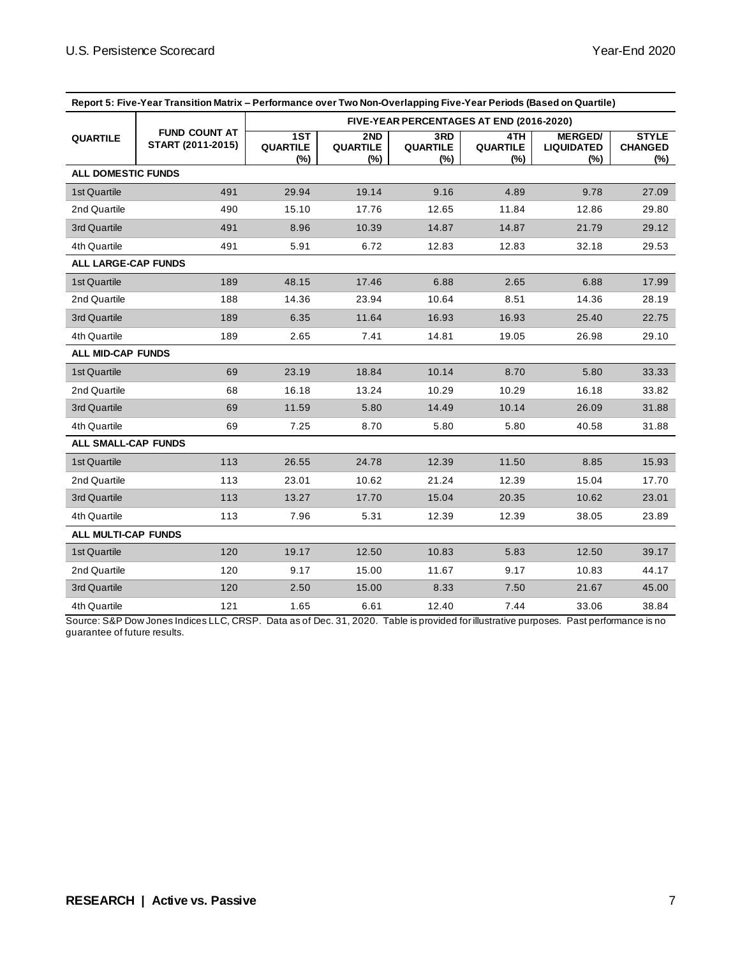| Report 5: Five-Year Transition Matrix - Performance over Two Non-Overlapping Five-Year Periods (Based on Quartile) |                                           |                                          |                               |                               |                                |                                            |                                          |
|--------------------------------------------------------------------------------------------------------------------|-------------------------------------------|------------------------------------------|-------------------------------|-------------------------------|--------------------------------|--------------------------------------------|------------------------------------------|
|                                                                                                                    |                                           | FIVE-YEAR PERCENTAGES AT END (2016-2020) |                               |                               |                                |                                            |                                          |
| <b>QUARTILE</b>                                                                                                    | <b>FUND COUNT AT</b><br>START (2011-2015) | 1ST<br><b>QUARTILE</b><br>(%)            | 2ND<br><b>QUARTILE</b><br>(%) | 3RD<br><b>QUARTILE</b><br>(%) | 4TH.<br><b>QUARTILE</b><br>(%) | <b>MERGED/</b><br><b>LIQUIDATED</b><br>(%) | <b>STYLE</b><br><b>CHANGED</b><br>$(\%)$ |
| <b>ALL DOMESTIC FUNDS</b>                                                                                          |                                           |                                          |                               |                               |                                |                                            |                                          |
| 1st Quartile                                                                                                       | 491                                       | 29.94                                    | 19.14                         | 9.16                          | 4.89                           | 9.78                                       | 27.09                                    |
| 2nd Quartile                                                                                                       | 490                                       | 15.10                                    | 17.76                         | 12.65                         | 11.84                          | 12.86                                      | 29.80                                    |
| 3rd Quartile                                                                                                       | 491                                       | 8.96                                     | 10.39                         | 14.87                         | 14.87                          | 21.79                                      | 29.12                                    |
| 4th Quartile                                                                                                       | 491                                       | 5.91                                     | 6.72                          | 12.83                         | 12.83                          | 32.18                                      | 29.53                                    |
| <b>ALL LARGE-CAP FUNDS</b>                                                                                         |                                           |                                          |                               |                               |                                |                                            |                                          |
| 1st Quartile                                                                                                       | 189                                       | 48.15                                    | 17.46                         | 6.88                          | 2.65                           | 6.88                                       | 17.99                                    |
| 2nd Quartile                                                                                                       | 188                                       | 14.36                                    | 23.94                         | 10.64                         | 8.51                           | 14.36                                      | 28.19                                    |
| 3rd Quartile                                                                                                       | 189                                       | 6.35                                     | 11.64                         | 16.93                         | 16.93                          | 25.40                                      | 22.75                                    |
| 4th Quartile                                                                                                       | 189                                       | 2.65                                     | 7.41                          | 14.81                         | 19.05                          | 26.98                                      | 29.10                                    |
| <b>ALL MID-CAP FUNDS</b>                                                                                           |                                           |                                          |                               |                               |                                |                                            |                                          |
| 1st Quartile                                                                                                       | 69                                        | 23.19                                    | 18.84                         | 10.14                         | 8.70                           | 5.80                                       | 33.33                                    |
| 2nd Quartile                                                                                                       | 68                                        | 16.18                                    | 13.24                         | 10.29                         | 10.29                          | 16.18                                      | 33.82                                    |
| 3rd Quartile                                                                                                       | 69                                        | 11.59                                    | 5.80                          | 14.49                         | 10.14                          | 26.09                                      | 31.88                                    |
| 4th Quartile                                                                                                       | 69                                        | 7.25                                     | 8.70                          | 5.80                          | 5.80                           | 40.58                                      | 31.88                                    |
| <b>ALL SMALL-CAP FUNDS</b>                                                                                         |                                           |                                          |                               |                               |                                |                                            |                                          |
| 1st Quartile                                                                                                       | 113                                       | 26.55                                    | 24.78                         | 12.39                         | 11.50                          | 8.85                                       | 15.93                                    |
| 2nd Quartile                                                                                                       | 113                                       | 23.01                                    | 10.62                         | 21.24                         | 12.39                          | 15.04                                      | 17.70                                    |
| 3rd Quartile                                                                                                       | 113                                       | 13.27                                    | 17.70                         | 15.04                         | 20.35                          | 10.62                                      | 23.01                                    |
| 4th Quartile                                                                                                       | 113                                       | 7.96                                     | 5.31                          | 12.39                         | 12.39                          | 38.05                                      | 23.89                                    |
| ALL MULTI-CAP FUNDS                                                                                                |                                           |                                          |                               |                               |                                |                                            |                                          |
| 1st Quartile                                                                                                       | 120                                       | 19.17                                    | 12.50                         | 10.83                         | 5.83                           | 12.50                                      | 39.17                                    |
| 2nd Quartile                                                                                                       | 120                                       | 9.17                                     | 15.00                         | 11.67                         | 9.17                           | 10.83                                      | 44.17                                    |
| 3rd Quartile                                                                                                       | 120                                       | 2.50                                     | 15.00                         | 8.33                          | 7.50                           | 21.67                                      | 45.00                                    |
| 4th Quartile                                                                                                       | 121                                       | 1.65                                     | 6.61                          | 12.40                         | 7.44                           | 33.06                                      | 38.84                                    |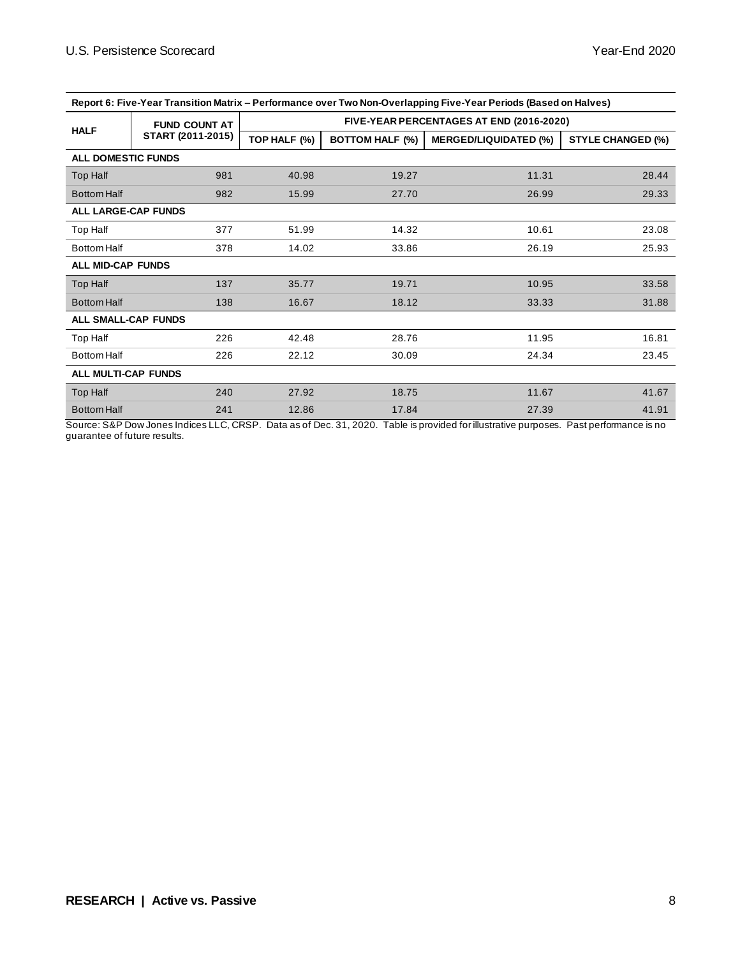| Report 6: Five-Year Transition Matrix – Performance over Two Non-Overlapping Five-Year Periods (Based on Halves) |                      |              |                        |                                          |                          |  |  |  |
|------------------------------------------------------------------------------------------------------------------|----------------------|--------------|------------------------|------------------------------------------|--------------------------|--|--|--|
|                                                                                                                  | <b>FUND COUNT AT</b> |              |                        | FIVE-YEAR PERCENTAGES AT END (2016-2020) |                          |  |  |  |
| <b>HALF</b>                                                                                                      | START (2011-2015)    | TOP HALF (%) | <b>BOTTOM HALF (%)</b> | <b>MERGED/LIQUIDATED (%)</b>             | <b>STYLE CHANGED (%)</b> |  |  |  |
| <b>ALL DOMESTIC FUNDS</b>                                                                                        |                      |              |                        |                                          |                          |  |  |  |
| Top Half                                                                                                         | 981                  | 40.98        | 19.27                  | 11.31                                    | 28.44                    |  |  |  |
| <b>Bottom Half</b>                                                                                               | 982                  | 15.99        | 27.70                  | 26.99                                    | 29.33                    |  |  |  |
| <b>ALL LARGE-CAP FUNDS</b>                                                                                       |                      |              |                        |                                          |                          |  |  |  |
| Top Half                                                                                                         | 377                  | 51.99        | 14.32                  | 10.61                                    | 23.08                    |  |  |  |
| <b>Bottom Half</b>                                                                                               | 378                  | 14.02        | 33.86                  | 26.19                                    | 25.93                    |  |  |  |
| <b>ALL MID-CAP FUNDS</b>                                                                                         |                      |              |                        |                                          |                          |  |  |  |
| Top Half                                                                                                         | 137                  | 35.77        | 19.71                  | 10.95                                    | 33.58                    |  |  |  |
| <b>Bottom Half</b>                                                                                               | 138                  | 16.67        | 18.12                  | 33.33                                    | 31.88                    |  |  |  |
| <b>ALL SMALL-CAP FUNDS</b>                                                                                       |                      |              |                        |                                          |                          |  |  |  |
| Top Half                                                                                                         | 226                  | 42.48        | 28.76                  | 11.95                                    | 16.81                    |  |  |  |
| <b>Bottom Half</b>                                                                                               | 226                  | 22.12        | 30.09                  | 24.34                                    | 23.45                    |  |  |  |
| <b>ALL MULTI-CAP FUNDS</b>                                                                                       |                      |              |                        |                                          |                          |  |  |  |
| Top Half                                                                                                         | 240                  | 27.92        | 18.75                  | 11.67                                    | 41.67                    |  |  |  |
| <b>Bottom Half</b>                                                                                               | 241                  | 12.86        | 17.84                  | 27.39                                    | 41.91                    |  |  |  |

**Report 6: Five-Year Transition Matrix – Performance over Two Non-Overlapping Five-Year Periods (Based on Halves)**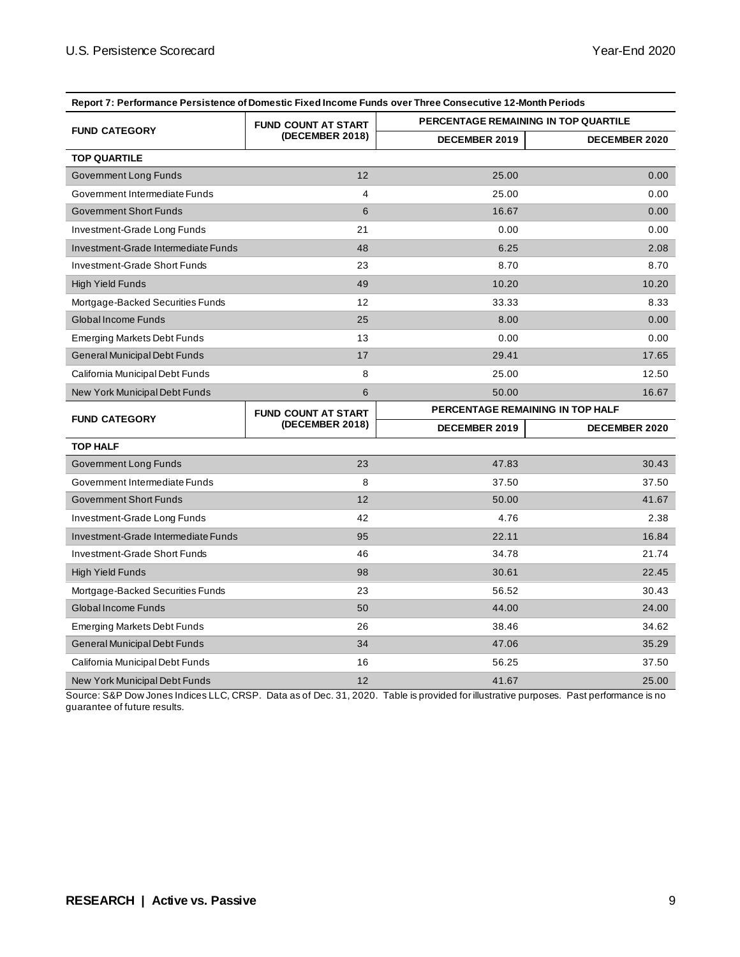| Report 7: Performance Persistence of Domestic Fixed Income Funds over Three Consecutive 12-Month Periods |                            |               |                                             |
|----------------------------------------------------------------------------------------------------------|----------------------------|---------------|---------------------------------------------|
|                                                                                                          | <b>FUND COUNT AT START</b> |               | <b>PERCENTAGE REMAINING IN TOP QUARTILE</b> |
| <b>FUND CATEGORY</b>                                                                                     | (DECEMBER 2018)            | DECEMBER 2019 | <b>DECEMBER 2020</b>                        |
| <b>TOP QUARTILE</b>                                                                                      |                            |               |                                             |
| Government Long Funds                                                                                    | 12                         | 25.00         | 0.00                                        |
| Government Intermediate Funds                                                                            | 4                          | 25.00         | 0.00                                        |
| <b>Government Short Funds</b>                                                                            | 6                          | 16.67         | 0.00                                        |
| Investment-Grade Long Funds                                                                              | 21                         | 0.00          | 0.00                                        |
| Investment-Grade Intermediate Funds                                                                      | 48                         | 6.25          | 2.08                                        |
| Investment-Grade Short Funds                                                                             | 23                         | 8.70          | 8.70                                        |
| <b>High Yield Funds</b>                                                                                  | 49                         | 10.20         | 10.20                                       |
| Mortgage-Backed Securities Funds                                                                         | $12 \overline{ }$          | 33.33         | 8.33                                        |
| <b>Global Income Funds</b>                                                                               | 25                         | 8.00          | 0.00                                        |
| <b>Emerging Markets Debt Funds</b>                                                                       | 13                         | 0.00          | 0.00                                        |
| General Municipal Debt Funds                                                                             | 17                         | 29.41         | 17.65                                       |
| California Municipal Debt Funds                                                                          | 8                          | 25.00         | 12.50                                       |
| New York Municipal Debt Funds                                                                            | 6                          | 50.00         | 16.67                                       |
| <b>FUND CATEGORY</b>                                                                                     | <b>FUND COUNT AT START</b> |               | PERCENTAGE REMAINING IN TOP HALF            |
|                                                                                                          | (DECEMBER 2018)            | DECEMBER 2019 | DECEMBER 2020                               |
| <b>TOP HALF</b>                                                                                          |                            |               |                                             |
|                                                                                                          |                            |               |                                             |
| Government Long Funds                                                                                    | 23                         | 47.83         | 30.43                                       |
| Government Intermediate Funds                                                                            | 8                          | 37.50         | 37.50                                       |
| <b>Government Short Funds</b>                                                                            | 12                         | 50.00         | 41.67                                       |
| Investment-Grade Long Funds                                                                              | 42                         | 4.76          | 2.38                                        |
| Investment-Grade Intermediate Funds                                                                      | 95                         | 22.11         | 16.84                                       |
| Investment-Grade Short Funds                                                                             | 46                         | 34.78         | 21.74                                       |
| <b>High Yield Funds</b>                                                                                  | 98                         | 30.61         | 22.45                                       |
| Mortgage-Backed Securities Funds                                                                         | 23                         | 56.52         | 30.43                                       |
| Global Income Funds                                                                                      | 50                         | 44.00         | 24.00                                       |
| <b>Emerging Markets Debt Funds</b>                                                                       | 26                         | 38.46         | 34.62                                       |
| General Municipal Debt Funds                                                                             | 34                         | 47.06         | 35.29                                       |
| California Municipal Debt Funds                                                                          | 16                         | 56.25         | 37.50                                       |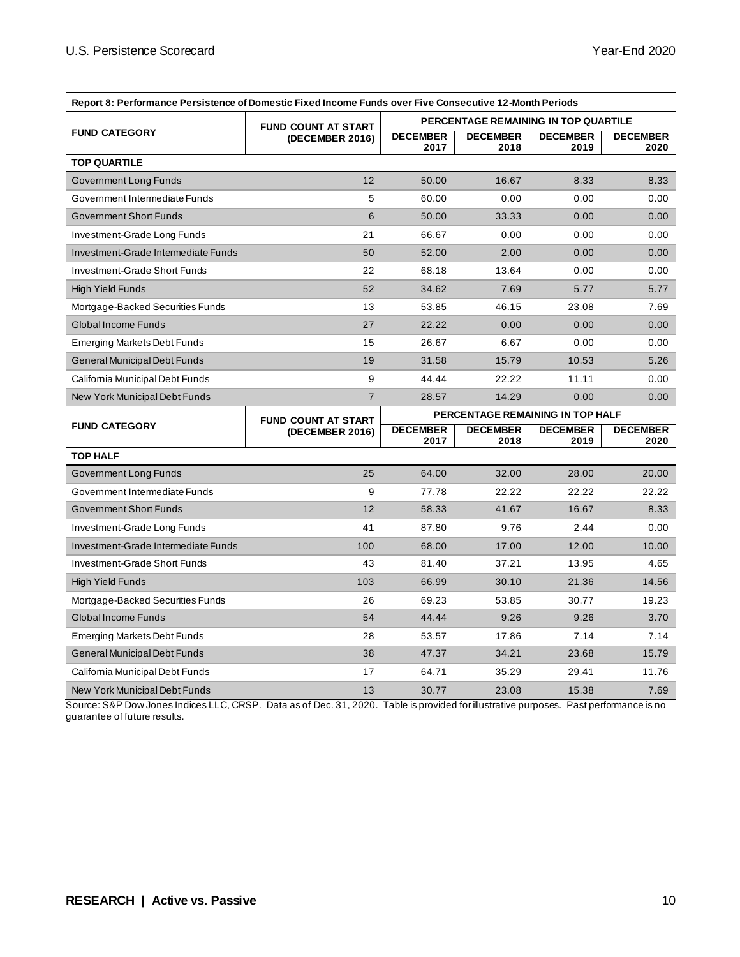| Report 8: Performance Persistence of Domestic Fixed Income Funds over Five Consecutive 12-Month Periods |                            |                                  |                         |                                      |                         |  |
|---------------------------------------------------------------------------------------------------------|----------------------------|----------------------------------|-------------------------|--------------------------------------|-------------------------|--|
|                                                                                                         | <b>FUND COUNT AT START</b> |                                  |                         | PERCENTAGE REMAINING IN TOP QUARTILE |                         |  |
| <b>FUND CATEGORY</b>                                                                                    | (DECEMBER 2016)            | <b>DECEMBER</b><br>2017          | <b>DECEMBER</b><br>2018 | <b>DECEMBER</b><br>2019              | <b>DECEMBER</b><br>2020 |  |
| <b>TOP QUARTILE</b>                                                                                     |                            |                                  |                         |                                      |                         |  |
| Government Long Funds                                                                                   | 12                         | 50.00                            | 16.67                   | 8.33                                 | 8.33                    |  |
| Government Intermediate Funds                                                                           | 5                          | 60.00                            | 0.00                    | 0.00                                 | 0.00                    |  |
| <b>Government Short Funds</b>                                                                           | 6                          | 50.00                            | 33.33                   | 0.00                                 | 0.00                    |  |
| Investment-Grade Long Funds                                                                             | 21                         | 66.67                            | 0.00                    | 0.00                                 | 0.00                    |  |
| Investment-Grade Intermediate Funds                                                                     | 50                         | 52.00                            | 2.00                    | 0.00                                 | 0.00                    |  |
| Investment-Grade Short Funds                                                                            | 22                         | 68.18                            | 13.64                   | 0.00                                 | 0.00                    |  |
| <b>High Yield Funds</b>                                                                                 | 52                         | 34.62                            | 7.69                    | 5.77                                 | 5.77                    |  |
| Mortgage-Backed Securities Funds                                                                        | 13                         | 53.85                            | 46.15                   | 23.08                                | 7.69                    |  |
| Global Income Funds                                                                                     | 27                         | 22.22                            | 0.00                    | 0.00                                 | 0.00                    |  |
| <b>Emerging Markets Debt Funds</b>                                                                      | 15                         | 26.67                            | 6.67                    | 0.00                                 | 0.00                    |  |
| General Municipal Debt Funds                                                                            | 19                         | 31.58                            | 15.79                   | 10.53                                | 5.26                    |  |
| California Municipal Debt Funds                                                                         | 9                          | 44.44                            | 22.22                   | 11.11                                | 0.00                    |  |
| New York Municipal Debt Funds                                                                           | $\overline{7}$             | 28.57                            | 14.29                   | 0.00                                 | 0.00                    |  |
|                                                                                                         | <b>FUND COUNT AT START</b> | PERCENTAGE REMAINING IN TOP HALF |                         |                                      |                         |  |
| <b>FUND CATEGORY</b>                                                                                    | (DECEMBER 2016)            | <b>DECEMBER</b><br>2017          | <b>DECEMBER</b><br>2018 | <b>DECEMBER</b><br>2019              | <b>DECEMBER</b><br>2020 |  |
| <b>TOP HALF</b>                                                                                         |                            |                                  |                         |                                      |                         |  |
| Government Long Funds                                                                                   |                            |                                  |                         |                                      |                         |  |
|                                                                                                         | 25                         | 64.00                            | 32.00                   | 28.00                                | 20.00                   |  |
| Government Intermediate Funds                                                                           | 9                          | 77.78                            | 22.22                   | 22.22                                | 22.22                   |  |
| <b>Government Short Funds</b>                                                                           | 12                         | 58.33                            | 41.67                   | 16.67                                | 8.33                    |  |
| Investment-Grade Long Funds                                                                             | 41                         | 87.80                            | 9.76                    | 2.44                                 | 0.00                    |  |
| Investment-Grade Intermediate Funds                                                                     | 100                        | 68.00                            | 17.00                   | 12.00                                | 10.00                   |  |
| Investment-Grade Short Funds                                                                            | 43                         | 81.40                            | 37.21                   | 13.95                                | 4.65                    |  |
| <b>High Yield Funds</b>                                                                                 | 103                        | 66.99                            | 30.10                   | 21.36                                | 14.56                   |  |
| Mortgage-Backed Securities Funds                                                                        | 26                         | 69.23                            | 53.85                   | 30.77                                | 19.23                   |  |
| Global Income Funds                                                                                     | 54                         | 44.44                            | 9.26                    | 9.26                                 | 3.70                    |  |
| <b>Emerging Markets Debt Funds</b>                                                                      | 28                         | 53.57                            | 17.86                   | 7.14                                 | 7.14                    |  |
| General Municipal Debt Funds                                                                            | 38                         | 47.37                            | 34.21                   | 23.68                                | 15.79                   |  |
| California Municipal Debt Funds                                                                         | 17                         | 64.71                            | 35.29                   | 29.41                                | 11.76                   |  |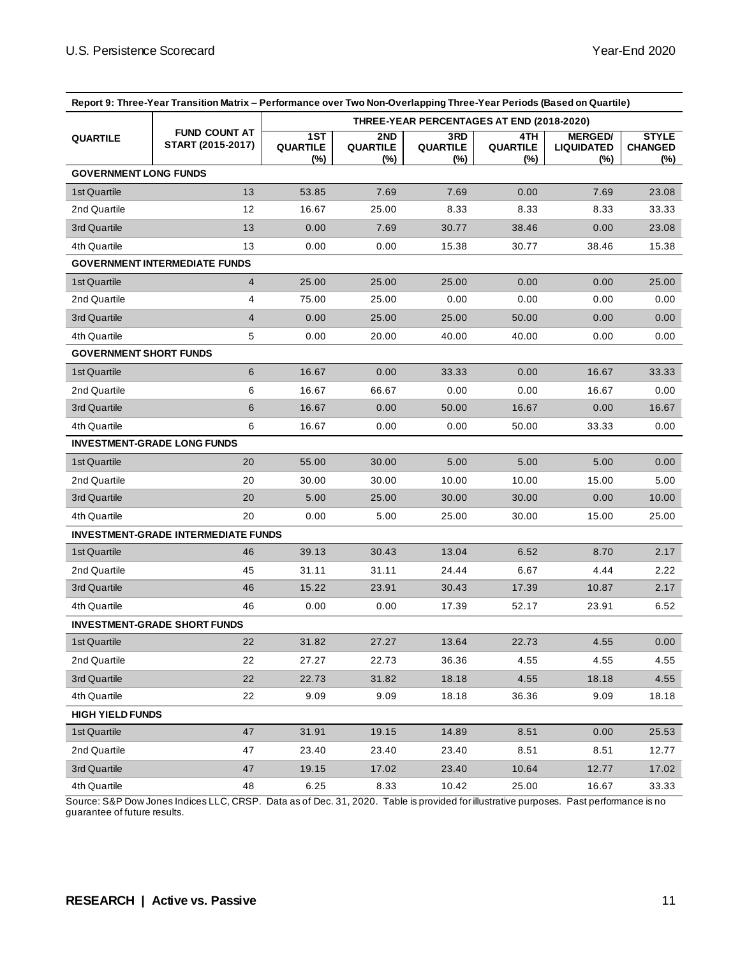| Report 9: Three-Year Transition Matrix – Performance over Two Non-Overlapping Three-Year Periods (Based on Quartile) |                                            |                                  |                                           |                                  |                               |                                               |                                       |
|----------------------------------------------------------------------------------------------------------------------|--------------------------------------------|----------------------------------|-------------------------------------------|----------------------------------|-------------------------------|-----------------------------------------------|---------------------------------------|
|                                                                                                                      |                                            |                                  | THREE-YEAR PERCENTAGES AT END (2018-2020) |                                  |                               |                                               |                                       |
| <b>QUARTILE</b>                                                                                                      | <b>FUND COUNT AT</b><br>START (2015-2017)  | 1ST<br><b>QUARTILE</b><br>$(\%)$ | 2ND<br><b>QUARTILE</b><br>(%)             | 3RD<br><b>QUARTILE</b><br>$(\%)$ | 4TH<br><b>QUARTILE</b><br>(%) | <b>MERGED/</b><br><b>LIQUIDATED</b><br>$(\%)$ | <b>STYLE</b><br><b>CHANGED</b><br>(%) |
| <b>GOVERNMENT LONG FUNDS</b>                                                                                         |                                            |                                  |                                           |                                  |                               |                                               |                                       |
| 1st Quartile                                                                                                         | 13                                         | 53.85                            | 7.69                                      | 7.69                             | 0.00                          | 7.69                                          | 23.08                                 |
| 2nd Quartile                                                                                                         | 12                                         | 16.67                            | 25.00                                     | 8.33                             | 8.33                          | 8.33                                          | 33.33                                 |
| 3rd Quartile                                                                                                         | 13                                         | 0.00                             | 7.69                                      | 30.77                            | 38.46                         | 0.00                                          | 23.08                                 |
| 4th Quartile                                                                                                         | 13                                         | 0.00                             | 0.00                                      | 15.38                            | 30.77                         | 38.46                                         | 15.38                                 |
|                                                                                                                      | <b>GOVERNMENT INTERMEDIATE FUNDS</b>       |                                  |                                           |                                  |                               |                                               |                                       |
| 1st Quartile                                                                                                         | $\overline{4}$                             | 25.00                            | 25.00                                     | 25.00                            | 0.00                          | 0.00                                          | 25.00                                 |
| 2nd Quartile                                                                                                         | 4                                          | 75.00                            | 25.00                                     | 0.00                             | 0.00                          | 0.00                                          | 0.00                                  |
| 3rd Quartile                                                                                                         | $\overline{4}$                             | 0.00                             | 25.00                                     | 25.00                            | 50.00                         | 0.00                                          | 0.00                                  |
| 4th Quartile                                                                                                         | 5                                          | 0.00                             | 20.00                                     | 40.00                            | 40.00                         | 0.00                                          | 0.00                                  |
| <b>GOVERNMENT SHORT FUNDS</b>                                                                                        |                                            |                                  |                                           |                                  |                               |                                               |                                       |
| 1st Quartile                                                                                                         | 6                                          | 16.67                            | 0.00                                      | 33.33                            | 0.00                          | 16.67                                         | 33.33                                 |
| 2nd Quartile                                                                                                         | 6                                          | 16.67                            | 66.67                                     | 0.00                             | 0.00                          | 16.67                                         | 0.00                                  |
| 3rd Quartile                                                                                                         | 6                                          | 16.67                            | 0.00                                      | 50.00                            | 16.67                         | 0.00                                          | 16.67                                 |
| 4th Quartile                                                                                                         | 6                                          | 16.67                            | 0.00                                      | 0.00                             | 50.00                         | 33.33                                         | 0.00                                  |
|                                                                                                                      | <b>INVESTMENT-GRADE LONG FUNDS</b>         |                                  |                                           |                                  |                               |                                               |                                       |
| 1st Quartile                                                                                                         | 20                                         | 55.00                            | 30.00                                     | 5.00                             | 5.00                          | 5.00                                          | 0.00                                  |
| 2nd Quartile                                                                                                         | 20                                         | 30.00                            | 30.00                                     | 10.00                            | 10.00                         | 15.00                                         | 5.00                                  |
| 3rd Quartile                                                                                                         | 20                                         | 5.00                             | 25.00                                     | 30.00                            | 30.00                         | 0.00                                          | 10.00                                 |
| 4th Quartile                                                                                                         | 20                                         | 0.00                             | 5.00                                      | 25.00                            | 30.00                         | 15.00                                         | 25.00                                 |
|                                                                                                                      | <b>INVESTMENT-GRADE INTERMEDIATE FUNDS</b> |                                  |                                           |                                  |                               |                                               |                                       |
| 1st Quartile                                                                                                         | 46                                         | 39.13                            | 30.43                                     | 13.04                            | 6.52                          | 8.70                                          | 2.17                                  |
| 2nd Quartile                                                                                                         | 45                                         | 31.11                            | 31.11                                     | 24.44                            | 6.67                          | 4.44                                          | 2.22                                  |
| 3rd Quartile                                                                                                         | 46                                         | 15.22                            | 23.91                                     | 30.43                            | 17.39                         | 10.87                                         | 2.17                                  |
| 4th Quartile                                                                                                         | 46                                         | 0.00                             | 0.00                                      | 17.39                            | 52.17                         | 23.91                                         | 6.52                                  |
|                                                                                                                      | <b>INVESTMENT-GRADE SHORT FUNDS</b>        |                                  |                                           |                                  |                               |                                               |                                       |
| 1st Quartile                                                                                                         | 22                                         | 31.82                            | 27.27                                     | 13.64                            | 22.73                         | 4.55                                          | 0.00                                  |
| 2nd Quartile                                                                                                         | 22                                         | 27.27                            | 22.73                                     | 36.36                            | 4.55                          | 4.55                                          | 4.55                                  |
| 3rd Quartile                                                                                                         | 22                                         | 22.73                            | 31.82                                     | 18.18                            | 4.55                          | 18.18                                         | 4.55                                  |
| 4th Quartile                                                                                                         | 22                                         | 9.09                             | 9.09                                      | 18.18                            | 36.36                         | 9.09                                          | 18.18                                 |
| <b>HIGH YIELD FUNDS</b>                                                                                              |                                            |                                  |                                           |                                  |                               |                                               |                                       |
| 1st Quartile                                                                                                         | 47                                         | 31.91                            | 19.15                                     | 14.89                            | 8.51                          | 0.00                                          | 25.53                                 |
| 2nd Quartile                                                                                                         | 47                                         | 23.40                            | 23.40                                     | 23.40                            | 8.51                          | 8.51                                          | 12.77                                 |
| 3rd Quartile                                                                                                         | 47                                         | 19.15                            | 17.02                                     | 23.40                            | 10.64                         | 12.77                                         | 17.02                                 |
| 4th Quartile                                                                                                         | 48                                         | 6.25                             | 8.33                                      | 10.42                            | 25.00                         | 16.67                                         | 33.33                                 |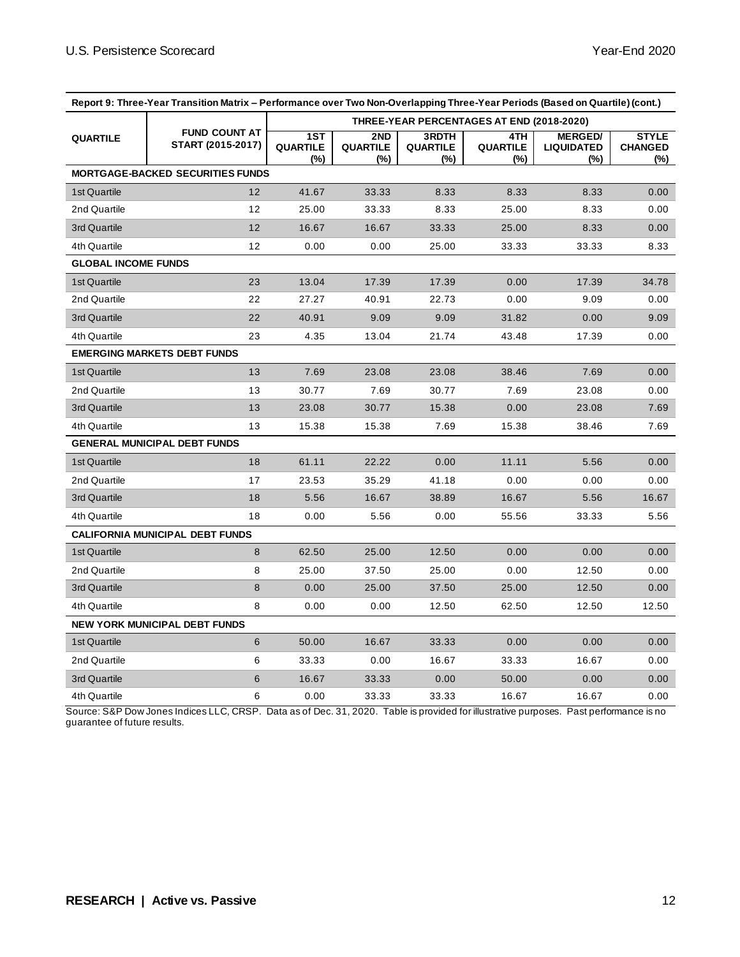|                            | Report 9: Three-Year Transition Matrix - Performance over Two Non-Overlapping Three-Year Periods (Based on Quartile) (cont.) |                        |                               |                                 |                                           |                                               |                                       |
|----------------------------|------------------------------------------------------------------------------------------------------------------------------|------------------------|-------------------------------|---------------------------------|-------------------------------------------|-----------------------------------------------|---------------------------------------|
|                            |                                                                                                                              |                        |                               |                                 | THREE-YEAR PERCENTAGES AT END (2018-2020) |                                               |                                       |
| <b>QUARTILE</b>            | <b>FUND COUNT AT</b><br>START (2015-2017)                                                                                    | 1ST<br>QUARTILE<br>(%) | 2ND<br><b>QUARTILE</b><br>(%) | 3RDTH<br><b>QUARTILE</b><br>(%) | 4TH<br><b>QUARTILE</b><br>(%)             | <b>MERGED/</b><br><b>LIQUIDATED</b><br>$(\%)$ | <b>STYLE</b><br><b>CHANGED</b><br>(%) |
|                            | <b>MORTGAGE-BACKED SECURITIES FUNDS</b>                                                                                      |                        |                               |                                 |                                           |                                               |                                       |
| 1st Quartile               | 12                                                                                                                           | 41.67                  | 33.33                         | 8.33                            | 8.33                                      | 8.33                                          | 0.00                                  |
| 2nd Quartile               | 12                                                                                                                           | 25.00                  | 33.33                         | 8.33                            | 25.00                                     | 8.33                                          | 0.00                                  |
| 3rd Quartile               | 12                                                                                                                           | 16.67                  | 16.67                         | 33.33                           | 25.00                                     | 8.33                                          | 0.00                                  |
| 4th Quartile               | 12                                                                                                                           | 0.00                   | 0.00                          | 25.00                           | 33.33                                     | 33.33                                         | 8.33                                  |
| <b>GLOBAL INCOME FUNDS</b> |                                                                                                                              |                        |                               |                                 |                                           |                                               |                                       |
| 1st Quartile               | 23                                                                                                                           | 13.04                  | 17.39                         | 17.39                           | 0.00                                      | 17.39                                         | 34.78                                 |
| 2nd Quartile               | 22                                                                                                                           | 27.27                  | 40.91                         | 22.73                           | 0.00                                      | 9.09                                          | 0.00                                  |
| 3rd Quartile               | 22                                                                                                                           | 40.91                  | 9.09                          | 9.09                            | 31.82                                     | 0.00                                          | 9.09                                  |
| 4th Quartile               | 23                                                                                                                           | 4.35                   | 13.04                         | 21.74                           | 43.48                                     | 17.39                                         | 0.00                                  |
|                            | <b>EMERGING MARKETS DEBT FUNDS</b>                                                                                           |                        |                               |                                 |                                           |                                               |                                       |
| 1st Quartile               | 13                                                                                                                           | 7.69                   | 23.08                         | 23.08                           | 38.46                                     | 7.69                                          | 0.00                                  |
| 2nd Quartile               | 13                                                                                                                           | 30.77                  | 7.69                          | 30.77                           | 7.69                                      | 23.08                                         | 0.00                                  |
| 3rd Quartile               | 13                                                                                                                           | 23.08                  | 30.77                         | 15.38                           | 0.00                                      | 23.08                                         | 7.69                                  |
| 4th Quartile               | 13                                                                                                                           | 15.38                  | 15.38                         | 7.69                            | 15.38                                     | 38.46                                         | 7.69                                  |
|                            | <b>GENERAL MUNICIPAL DEBT FUNDS</b>                                                                                          |                        |                               |                                 |                                           |                                               |                                       |
| 1st Quartile               | 18                                                                                                                           | 61.11                  | 22.22                         | 0.00                            | 11.11                                     | 5.56                                          | 0.00                                  |
| 2nd Quartile               | 17                                                                                                                           | 23.53                  | 35.29                         | 41.18                           | 0.00                                      | 0.00                                          | 0.00                                  |
| 3rd Quartile               | 18                                                                                                                           | 5.56                   | 16.67                         | 38.89                           | 16.67                                     | 5.56                                          | 16.67                                 |
| 4th Quartile               | 18                                                                                                                           | 0.00                   | 5.56                          | 0.00                            | 55.56                                     | 33.33                                         | 5.56                                  |
|                            | CALIFORNIA MUNICIPAL DEBT FUNDS                                                                                              |                        |                               |                                 |                                           |                                               |                                       |
| 1st Quartile               | 8                                                                                                                            | 62.50                  | 25.00                         | 12.50                           | 0.00                                      | 0.00                                          | 0.00                                  |
| 2nd Quartile               | 8                                                                                                                            | 25.00                  | 37.50                         | 25.00                           | 0.00                                      | 12.50                                         | 0.00                                  |
| 3rd Quartile               | 8                                                                                                                            | 0.00                   | 25.00                         | 37.50                           | 25.00                                     | 12.50                                         | 0.00                                  |
| 4th Quartile               | 8                                                                                                                            | 0.00                   | 0.00                          | 12.50                           | 62.50                                     | 12.50                                         | 12.50                                 |
|                            | <b>NEW YORK MUNICIPAL DEBT FUNDS</b>                                                                                         |                        |                               |                                 |                                           |                                               |                                       |
| 1st Quartile               | 6                                                                                                                            | 50.00                  | 16.67                         | 33.33                           | 0.00                                      | 0.00                                          | 0.00                                  |
| 2nd Quartile               | 6                                                                                                                            | 33.33                  | 0.00                          | 16.67                           | 33.33                                     | 16.67                                         | 0.00                                  |
| 3rd Quartile               | 6                                                                                                                            | 16.67                  | 33.33                         | 0.00                            | 50.00                                     | 0.00                                          | 0.00                                  |
| 4th Quartile               | 6                                                                                                                            | 0.00                   | 33.33                         | 33.33                           | 16.67                                     | 16.67                                         | 0.00                                  |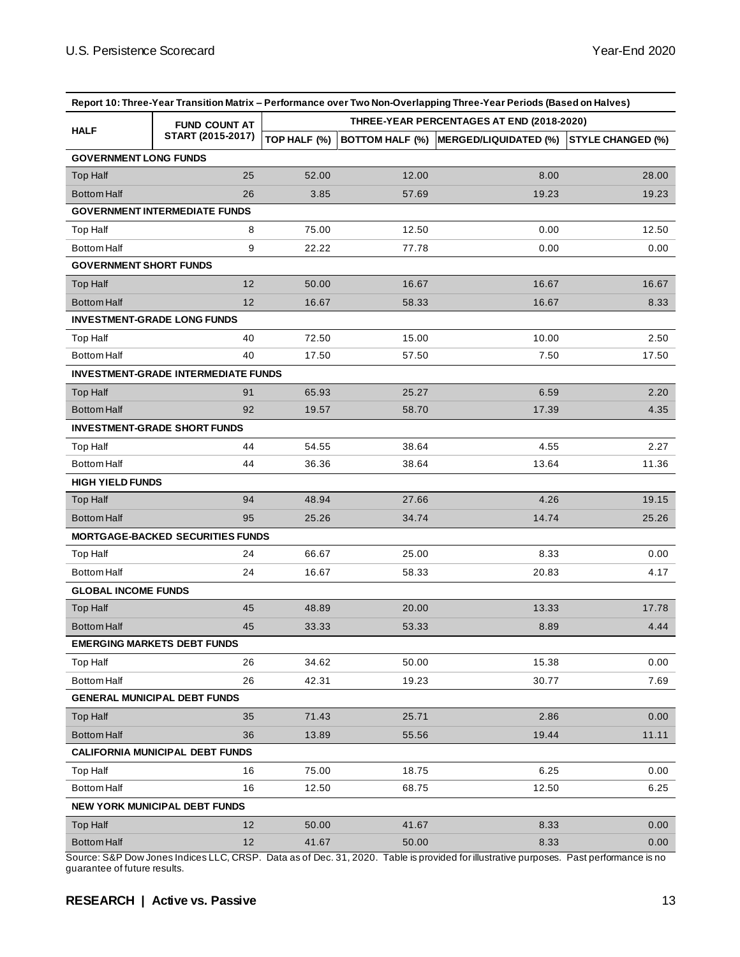|                               |                                            |              |       | Report 10: Three-Year Transition Matrix – Performance over Two Non-Overlapping Three-Year Periods (Based on Halves) |                          |
|-------------------------------|--------------------------------------------|--------------|-------|---------------------------------------------------------------------------------------------------------------------|--------------------------|
|                               | <b>FUND COUNT AT</b>                       |              |       | THREE-YEAR PERCENTAGES AT END (2018-2020)                                                                           |                          |
| <b>HALF</b>                   | START (2015-2017)                          | TOP HALF (%) |       | BOTTOM HALF (%) MERGED/LIQUIDATED (%)                                                                               | <b>STYLE CHANGED (%)</b> |
| <b>GOVERNMENT LONG FUNDS</b>  |                                            |              |       |                                                                                                                     |                          |
| Top Half                      | 25                                         | 52.00        | 12.00 | 8.00                                                                                                                | 28.00                    |
| <b>Bottom Half</b>            | 26                                         | 3.85         | 57.69 | 19.23                                                                                                               | 19.23                    |
|                               | <b>GOVERNMENT INTERMEDIATE FUNDS</b>       |              |       |                                                                                                                     |                          |
| Top Half                      | 8                                          | 75.00        | 12.50 | 0.00                                                                                                                | 12.50                    |
| <b>Bottom Half</b>            | 9                                          | 22.22        | 77.78 | 0.00                                                                                                                | 0.00                     |
| <b>GOVERNMENT SHORT FUNDS</b> |                                            |              |       |                                                                                                                     |                          |
| Top Half                      | 12                                         | 50.00        | 16.67 | 16.67                                                                                                               | 16.67                    |
| <b>Bottom Half</b>            | 12                                         | 16.67        | 58.33 | 16.67                                                                                                               | 8.33                     |
|                               | <b>INVESTMENT-GRADE LONG FUNDS</b>         |              |       |                                                                                                                     |                          |
| Top Half                      | 40                                         | 72.50        | 15.00 | 10.00                                                                                                               | 2.50                     |
| <b>Bottom Half</b>            | 40                                         | 17.50        | 57.50 | 7.50                                                                                                                | 17.50                    |
|                               | <b>INVESTMENT-GRADE INTERMEDIATE FUNDS</b> |              |       |                                                                                                                     |                          |
| <b>Top Half</b>               | 91                                         | 65.93        | 25.27 | 6.59                                                                                                                | 2.20                     |
| <b>Bottom Half</b>            | 92                                         | 19.57        | 58.70 | 17.39                                                                                                               | 4.35                     |
|                               | <b>INVESTMENT-GRADE SHORT FUNDS</b>        |              |       |                                                                                                                     |                          |
| Top Half                      | 44                                         | 54.55        | 38.64 | 4.55                                                                                                                | 2.27                     |
| <b>Bottom Half</b>            | 44                                         | 36.36        | 38.64 | 13.64                                                                                                               | 11.36                    |
| <b>HIGH YIELD FUNDS</b>       |                                            |              |       |                                                                                                                     |                          |
| Top Half                      | 94                                         | 48.94        | 27.66 | 4.26                                                                                                                | 19.15                    |
| <b>Bottom Half</b>            | 95                                         | 25.26        | 34.74 | 14.74                                                                                                               | 25.26                    |
|                               | <b>MORTGAGE-BACKED SECURITIES FUNDS</b>    |              |       |                                                                                                                     |                          |
| Top Half                      | 24                                         | 66.67        | 25.00 | 8.33                                                                                                                | 0.00                     |
| <b>Bottom Half</b>            | 24                                         | 16.67        | 58.33 | 20.83                                                                                                               | 4.17                     |
| <b>GLOBAL INCOME FUNDS</b>    |                                            |              |       |                                                                                                                     |                          |
| <b>Top Half</b>               | 45                                         | 48.89        | 20.00 | 13.33                                                                                                               | 17.78                    |
| <b>Bottom Half</b>            | 45                                         | 33.33        | 53.33 | 8.89                                                                                                                | 4.44                     |
|                               | <b>EMERGING MARKETS DEBT FUNDS</b>         |              |       |                                                                                                                     |                          |
| Top Half                      | 26                                         | 34.62        | 50.00 | 15.38                                                                                                               | 0.00                     |
| <b>Bottom Half</b>            | 26                                         | 42.31        | 19.23 | 30.77                                                                                                               | 7.69                     |
|                               | <b>GENERAL MUNICIPAL DEBT FUNDS</b>        |              |       |                                                                                                                     |                          |
| Top Half                      | 35                                         | 71.43        | 25.71 | 2.86                                                                                                                | 0.00                     |
| <b>Bottom Half</b>            | 36                                         | 13.89        | 55.56 | 19.44                                                                                                               | 11.11                    |
|                               | <b>CALIFORNIA MUNICIPAL DEBT FUNDS</b>     |              |       |                                                                                                                     |                          |
| Top Half                      | 16                                         | 75.00        | 18.75 | 6.25                                                                                                                | 0.00                     |
| <b>Bottom Half</b>            | 16                                         | 12.50        | 68.75 | 12.50                                                                                                               | 6.25                     |
|                               | <b>NEW YORK MUNICIPAL DEBT FUNDS</b>       |              |       |                                                                                                                     |                          |
| Top Half                      | 12                                         | 50.00        | 41.67 | 8.33                                                                                                                | 0.00                     |
| <b>Bottom Half</b>            | 12                                         | 41.67        | 50.00 | 8.33                                                                                                                | 0.00                     |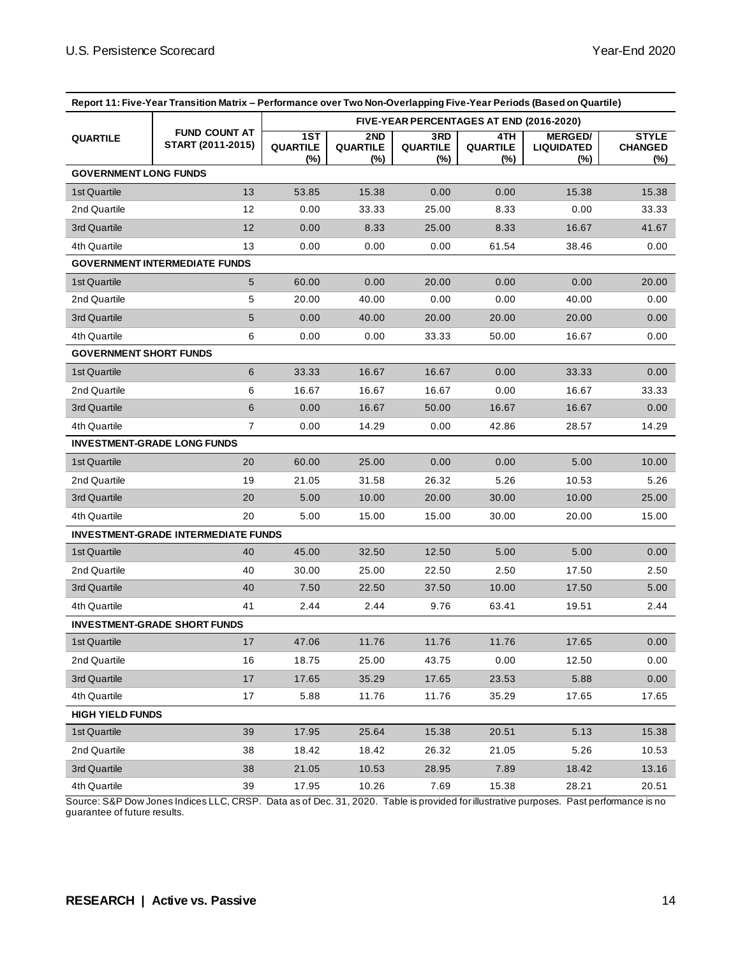| Report 11: Five-Year Transition Matrix - Performance over Two Non-Overlapping Five-Year Periods (Based on Quartile) |                                            |                               |                                          |                               |                               |                                            |                                       |
|---------------------------------------------------------------------------------------------------------------------|--------------------------------------------|-------------------------------|------------------------------------------|-------------------------------|-------------------------------|--------------------------------------------|---------------------------------------|
|                                                                                                                     |                                            |                               | FIVE-YEAR PERCENTAGES AT END (2016-2020) |                               |                               |                                            |                                       |
| <b>QUARTILE</b>                                                                                                     | <b>FUND COUNT AT</b><br>START (2011-2015)  | 1ST<br><b>QUARTILE</b><br>(%) | 2ND<br><b>QUARTILE</b><br>(%)            | 3RD<br><b>QUARTILE</b><br>(%) | 4TH<br><b>QUARTILE</b><br>(%) | <b>MERGED/</b><br><b>LIQUIDATED</b><br>(%) | <b>STYLE</b><br><b>CHANGED</b><br>(%) |
| <b>GOVERNMENT LONG FUNDS</b>                                                                                        |                                            |                               |                                          |                               |                               |                                            |                                       |
| 1st Quartile                                                                                                        | 13                                         | 53.85                         | 15.38                                    | 0.00                          | 0.00                          | 15.38                                      | 15.38                                 |
| 2nd Quartile                                                                                                        | 12                                         | 0.00                          | 33.33                                    | 25.00                         | 8.33                          | 0.00                                       | 33.33                                 |
| 3rd Quartile                                                                                                        | 12                                         | 0.00                          | 8.33                                     | 25.00                         | 8.33                          | 16.67                                      | 41.67                                 |
| 4th Quartile                                                                                                        | 13                                         | 0.00                          | 0.00                                     | 0.00                          | 61.54                         | 38.46                                      | 0.00                                  |
|                                                                                                                     | <b>GOVERNMENT INTERMEDIATE FUNDS</b>       |                               |                                          |                               |                               |                                            |                                       |
| 1st Quartile                                                                                                        | 5                                          | 60.00                         | 0.00                                     | 20.00                         | 0.00                          | 0.00                                       | 20.00                                 |
| 2nd Quartile                                                                                                        | 5                                          | 20.00                         | 40.00                                    | 0.00                          | 0.00                          | 40.00                                      | 0.00                                  |
| 3rd Quartile                                                                                                        | $5\phantom{.0}$                            | 0.00                          | 40.00                                    | 20.00                         | 20.00                         | 20.00                                      | 0.00                                  |
| 4th Quartile                                                                                                        | 6                                          | 0.00                          | 0.00                                     | 33.33                         | 50.00                         | 16.67                                      | 0.00                                  |
| <b>GOVERNMENT SHORT FUNDS</b>                                                                                       |                                            |                               |                                          |                               |                               |                                            |                                       |
| 1st Quartile                                                                                                        | 6                                          | 33.33                         | 16.67                                    | 16.67                         | 0.00                          | 33.33                                      | 0.00                                  |
| 2nd Quartile                                                                                                        | 6                                          | 16.67                         | 16.67                                    | 16.67                         | 0.00                          | 16.67                                      | 33.33                                 |
| 3rd Quartile                                                                                                        | 6                                          | 0.00                          | 16.67                                    | 50.00                         | 16.67                         | 16.67                                      | 0.00                                  |
| 4th Quartile                                                                                                        | $\overline{7}$                             | 0.00                          | 14.29                                    | 0.00                          | 42.86                         | 28.57                                      | 14.29                                 |
|                                                                                                                     | <b>INVESTMENT-GRADE LONG FUNDS</b>         |                               |                                          |                               |                               |                                            |                                       |
| 1st Quartile                                                                                                        | 20                                         | 60.00                         | 25.00                                    | 0.00                          | 0.00                          | 5.00                                       | 10.00                                 |
| 2nd Quartile                                                                                                        | 19                                         | 21.05                         | 31.58                                    | 26.32                         | 5.26                          | 10.53                                      | 5.26                                  |
| 3rd Quartile                                                                                                        | 20                                         | 5.00                          | 10.00                                    | 20.00                         | 30.00                         | 10.00                                      | 25.00                                 |
| 4th Quartile                                                                                                        | 20                                         | 5.00                          | 15.00                                    | 15.00                         | 30.00                         | 20.00                                      | 15.00                                 |
|                                                                                                                     | <b>INVESTMENT-GRADE INTERMEDIATE FUNDS</b> |                               |                                          |                               |                               |                                            |                                       |
| 1st Quartile                                                                                                        | 40                                         | 45.00                         | 32.50                                    | 12.50                         | 5.00                          | 5.00                                       | 0.00                                  |
| 2nd Quartile                                                                                                        | 40                                         | 30.00                         | 25.00                                    | 22.50                         | 2.50                          | 17.50                                      | 2.50                                  |
| 3rd Quartile                                                                                                        | 40                                         | 7.50                          | 22.50                                    | 37.50                         | 10.00                         | 17.50                                      | 5.00                                  |
| 4th Quartile                                                                                                        | 41                                         | 2.44                          | 2.44                                     | 9.76                          | 63.41                         | 19.51                                      | 2.44                                  |
|                                                                                                                     | <b>INVESTMENT-GRADE SHORT FUNDS</b>        |                               |                                          |                               |                               |                                            |                                       |
| 1st Quartile                                                                                                        | 17                                         | 47.06                         | 11.76                                    | 11.76                         | 11.76                         | 17.65                                      | 0.00                                  |
| 2nd Quartile                                                                                                        | 16                                         | 18.75                         | 25.00                                    | 43.75                         | 0.00                          | 12.50                                      | 0.00                                  |
| 3rd Quartile                                                                                                        | 17                                         | 17.65                         | 35.29                                    | 17.65                         | 23.53                         | 5.88                                       | 0.00                                  |
| 4th Quartile                                                                                                        | 17                                         | 5.88                          | 11.76                                    | 11.76                         | 35.29                         | 17.65                                      | 17.65                                 |
| <b>HIGH YIELD FUNDS</b>                                                                                             |                                            |                               |                                          |                               |                               |                                            |                                       |
| 1st Quartile                                                                                                        | 39                                         | 17.95                         | 25.64                                    | 15.38                         | 20.51                         | 5.13                                       | 15.38                                 |
| 2nd Quartile                                                                                                        | 38                                         | 18.42                         | 18.42                                    | 26.32                         | 21.05                         | 5.26                                       | 10.53                                 |
| 3rd Quartile                                                                                                        | 38                                         | 21.05                         | 10.53                                    | 28.95                         | 7.89                          | 18.42                                      | 13.16                                 |
| 4th Quartile                                                                                                        | 39                                         | 17.95                         | 10.26                                    | 7.69                          | 15.38                         | 28.21                                      | 20.51                                 |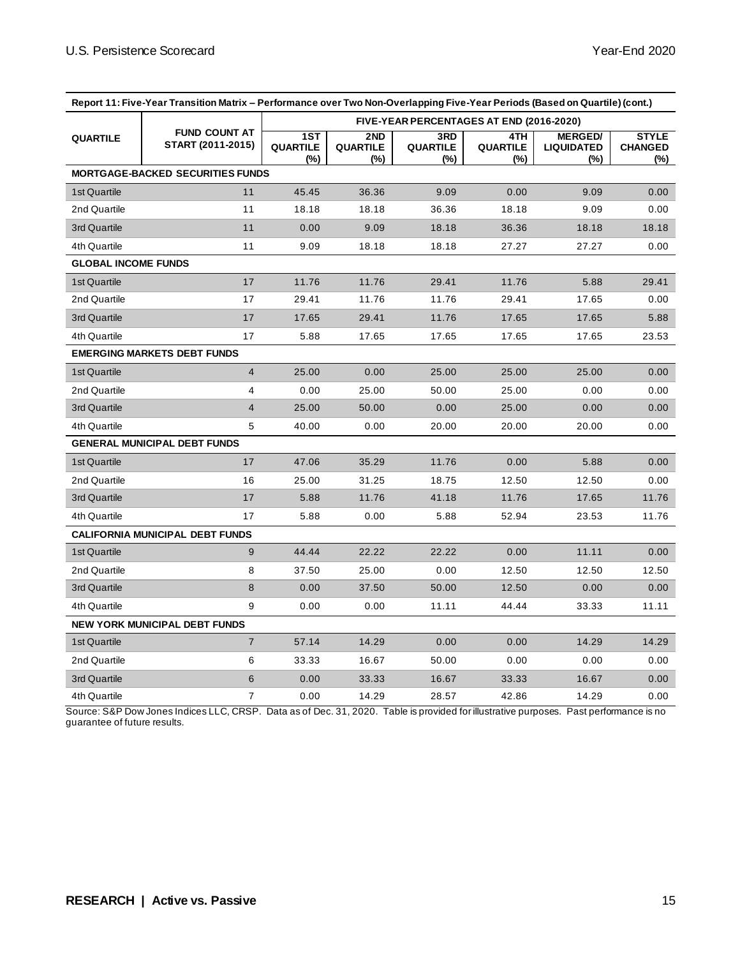| Report 11: Five-Year Transition Matrix - Performance over Two Non-Overlapping Five-Year Periods (Based on Quartile) (cont.) |                                           |                                          |                                  |                               |                                |                                            |                                       |  |
|-----------------------------------------------------------------------------------------------------------------------------|-------------------------------------------|------------------------------------------|----------------------------------|-------------------------------|--------------------------------|--------------------------------------------|---------------------------------------|--|
|                                                                                                                             | <b>FUND COUNT AT</b><br>START (2011-2015) | FIVE-YEAR PERCENTAGES AT END (2016-2020) |                                  |                               |                                |                                            |                                       |  |
| <b>QUARTILE</b>                                                                                                             |                                           | 1ST<br>QUARTILE<br>$(\%)$                | 2ND<br><b>QUARTILE</b><br>$(\%)$ | 3RD<br><b>QUARTILE</b><br>(%) | 4TH.<br><b>QUARTILE</b><br>(%) | <b>MERGED/</b><br><b>LIQUIDATED</b><br>(%) | <b>STYLE</b><br><b>CHANGED</b><br>(%) |  |
|                                                                                                                             | <b>MORTGAGE-BACKED SECURITIES FUNDS</b>   |                                          |                                  |                               |                                |                                            |                                       |  |
| 1st Quartile                                                                                                                | 11                                        | 45.45                                    | 36.36                            | 9.09                          | 0.00                           | 9.09                                       | 0.00                                  |  |
| 2nd Quartile                                                                                                                | 11                                        | 18.18                                    | 18.18                            | 36.36                         | 18.18                          | 9.09                                       | 0.00                                  |  |
| 3rd Quartile                                                                                                                | 11                                        | 0.00                                     | 9.09                             | 18.18                         | 36.36                          | 18.18                                      | 18.18                                 |  |
| 4th Quartile                                                                                                                | 11                                        | 9.09                                     | 18.18                            | 18.18                         | 27.27                          | 27.27                                      | 0.00                                  |  |
| <b>GLOBAL INCOME FUNDS</b>                                                                                                  |                                           |                                          |                                  |                               |                                |                                            |                                       |  |
| 1st Quartile                                                                                                                | 17                                        | 11.76                                    | 11.76                            | 29.41                         | 11.76                          | 5.88                                       | 29.41                                 |  |
| 2nd Quartile                                                                                                                | 17                                        | 29.41                                    | 11.76                            | 11.76                         | 29.41                          | 17.65                                      | 0.00                                  |  |
| 3rd Quartile                                                                                                                | 17                                        | 17.65                                    | 29.41                            | 11.76                         | 17.65                          | 17.65                                      | 5.88                                  |  |
| 4th Quartile                                                                                                                | 17                                        | 5.88                                     | 17.65                            | 17.65                         | 17.65                          | 17.65                                      | 23.53                                 |  |
| <b>EMERGING MARKETS DEBT FUNDS</b>                                                                                          |                                           |                                          |                                  |                               |                                |                                            |                                       |  |
| 1st Quartile                                                                                                                | $\overline{4}$                            | 25.00                                    | 0.00                             | 25.00                         | 25.00                          | 25.00                                      | 0.00                                  |  |
| 2nd Quartile                                                                                                                | 4                                         | 0.00                                     | 25.00                            | 50.00                         | 25.00                          | 0.00                                       | 0.00                                  |  |
| 3rd Quartile                                                                                                                | 4                                         | 25.00                                    | 50.00                            | 0.00                          | 25.00                          | 0.00                                       | 0.00                                  |  |
| 4th Quartile                                                                                                                | 5                                         | 40.00                                    | 0.00                             | 20.00                         | 20.00                          | 20.00                                      | 0.00                                  |  |
|                                                                                                                             | <b>GENERAL MUNICIPAL DEBT FUNDS</b>       |                                          |                                  |                               |                                |                                            |                                       |  |
| 1st Quartile                                                                                                                | 17                                        | 47.06                                    | 35.29                            | 11.76                         | 0.00                           | 5.88                                       | 0.00                                  |  |
| 2nd Quartile                                                                                                                | 16                                        | 25.00                                    | 31.25                            | 18.75                         | 12.50                          | 12.50                                      | 0.00                                  |  |
| 3rd Quartile                                                                                                                | 17                                        | 5.88                                     | 11.76                            | 41.18                         | 11.76                          | 17.65                                      | 11.76                                 |  |
| 4th Quartile                                                                                                                | 17                                        | 5.88                                     | 0.00                             | 5.88                          | 52.94                          | 23.53                                      | 11.76                                 |  |
| <b>CALIFORNIA MUNICIPAL DEBT FUNDS</b>                                                                                      |                                           |                                          |                                  |                               |                                |                                            |                                       |  |
| 1st Quartile                                                                                                                | 9                                         | 44.44                                    | 22.22                            | 22.22                         | 0.00                           | 11.11                                      | 0.00                                  |  |
| 2nd Quartile                                                                                                                | 8                                         | 37.50                                    | 25.00                            | 0.00                          | 12.50                          | 12.50                                      | 12.50                                 |  |
| 3rd Quartile                                                                                                                | 8                                         | 0.00                                     | 37.50                            | 50.00                         | 12.50                          | 0.00                                       | 0.00                                  |  |
| 4th Quartile                                                                                                                | 9                                         | 0.00                                     | 0.00                             | 11.11                         | 44.44                          | 33.33                                      | 11.11                                 |  |
| <b>NEW YORK MUNICIPAL DEBT FUNDS</b>                                                                                        |                                           |                                          |                                  |                               |                                |                                            |                                       |  |
| 1st Quartile                                                                                                                | $\overline{7}$                            | 57.14                                    | 14.29                            | 0.00                          | 0.00                           | 14.29                                      | 14.29                                 |  |
| 2nd Quartile                                                                                                                | 6                                         | 33.33                                    | 16.67                            | 50.00                         | 0.00                           | 0.00                                       | 0.00                                  |  |
| 3rd Quartile                                                                                                                | 6                                         | 0.00                                     | 33.33                            | 16.67                         | 33.33                          | 16.67                                      | 0.00                                  |  |
| 4th Quartile                                                                                                                | 7                                         | 0.00                                     | 14.29                            | 28.57                         | 42.86                          | 14.29                                      | 0.00                                  |  |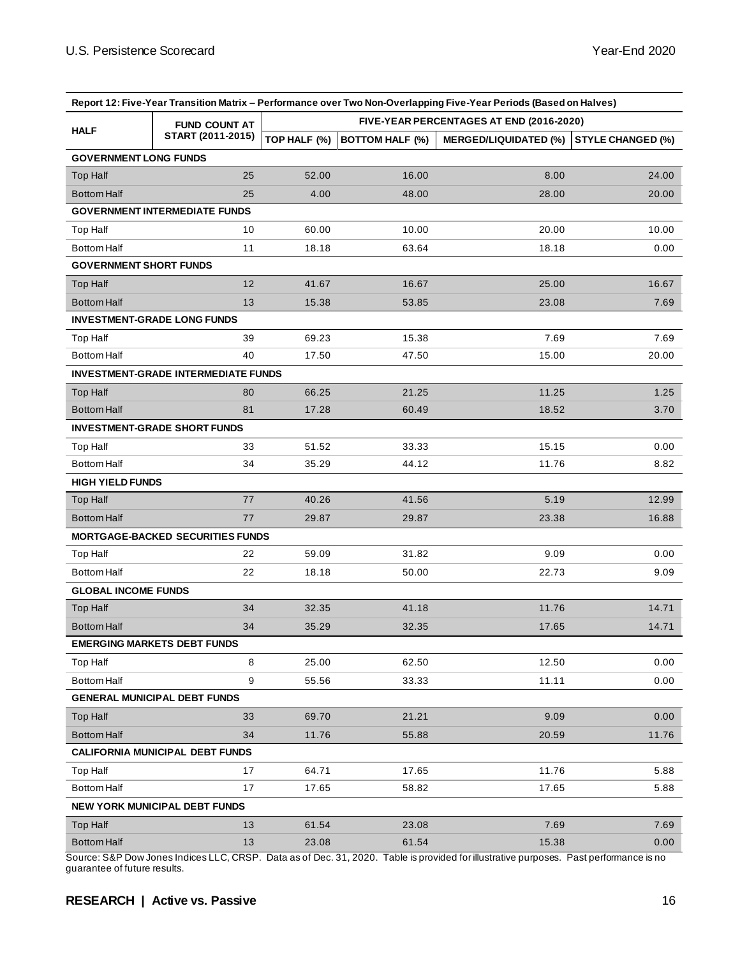| Report 12: Five-Year Transition Matrix - Performance over Two Non-Overlapping Five-Year Periods (Based on Halves) |                                            |                                          |                        |                              |                          |  |  |  |
|-------------------------------------------------------------------------------------------------------------------|--------------------------------------------|------------------------------------------|------------------------|------------------------------|--------------------------|--|--|--|
|                                                                                                                   | <b>FUND COUNT AT</b>                       | FIVE-YEAR PERCENTAGES AT END (2016-2020) |                        |                              |                          |  |  |  |
| <b>HALF</b>                                                                                                       | START (2011-2015)                          | TOP HALF (%)                             | <b>BOTTOM HALF (%)</b> | <b>MERGED/LIQUIDATED (%)</b> | <b>STYLE CHANGED (%)</b> |  |  |  |
| <b>GOVERNMENT LONG FUNDS</b>                                                                                      |                                            |                                          |                        |                              |                          |  |  |  |
| <b>Top Half</b>                                                                                                   | 25                                         | 52.00                                    | 16.00                  | 8.00                         | 24.00                    |  |  |  |
| <b>Bottom Half</b>                                                                                                | 25                                         | 4.00                                     | 48.00                  | 28.00                        | 20.00                    |  |  |  |
|                                                                                                                   | <b>GOVERNMENT INTERMEDIATE FUNDS</b>       |                                          |                        |                              |                          |  |  |  |
| <b>Top Half</b>                                                                                                   | 10                                         | 60.00                                    | 10.00                  | 20.00                        | 10.00                    |  |  |  |
| <b>Bottom Half</b>                                                                                                | 11                                         | 18.18                                    | 63.64                  | 18.18                        | 0.00                     |  |  |  |
| <b>GOVERNMENT SHORT FUNDS</b>                                                                                     |                                            |                                          |                        |                              |                          |  |  |  |
| <b>Top Half</b>                                                                                                   | 12                                         | 41.67                                    | 16.67                  | 25.00                        | 16.67                    |  |  |  |
| <b>Bottom Half</b>                                                                                                | 13                                         | 15.38                                    | 53.85                  | 23.08                        | 7.69                     |  |  |  |
| <b>INVESTMENT-GRADE LONG FUNDS</b>                                                                                |                                            |                                          |                        |                              |                          |  |  |  |
| <b>Top Half</b>                                                                                                   | 39                                         | 69.23                                    | 15.38                  | 7.69                         | 7.69                     |  |  |  |
| <b>Bottom Half</b>                                                                                                | 40                                         | 17.50                                    | 47.50                  | 15.00                        | 20.00                    |  |  |  |
|                                                                                                                   | <b>INVESTMENT-GRADE INTERMEDIATE FUNDS</b> |                                          |                        |                              |                          |  |  |  |
| <b>Top Half</b>                                                                                                   | 80                                         | 66.25                                    | 21.25                  | 11.25                        | 1.25                     |  |  |  |
| <b>Bottom Half</b>                                                                                                | 81                                         | 17.28                                    | 60.49                  | 18.52                        | 3.70                     |  |  |  |
|                                                                                                                   | <b>INVESTMENT-GRADE SHORT FUNDS</b>        |                                          |                        |                              |                          |  |  |  |
| <b>Top Half</b>                                                                                                   | 33                                         | 51.52                                    | 33.33                  | 15.15                        | 0.00                     |  |  |  |
| <b>Bottom Half</b>                                                                                                | 34                                         | 35.29                                    | 44.12                  | 11.76                        | 8.82                     |  |  |  |
| <b>HIGH YIELD FUNDS</b>                                                                                           |                                            |                                          |                        |                              |                          |  |  |  |
| <b>Top Half</b>                                                                                                   | 77                                         | 40.26                                    | 41.56                  | 5.19                         | 12.99                    |  |  |  |
| <b>Bottom Half</b><br>77                                                                                          |                                            | 29.87                                    | 29.87                  | 23.38                        | 16.88                    |  |  |  |
|                                                                                                                   | <b>MORTGAGE-BACKED SECURITIES FUNDS</b>    |                                          |                        |                              |                          |  |  |  |
| Top Half                                                                                                          | 22                                         | 59.09                                    | 31.82                  | 9.09                         | 0.00                     |  |  |  |
| <b>Bottom Half</b>                                                                                                | 22                                         | 18.18                                    | 50.00                  | 22.73                        | 9.09                     |  |  |  |
| <b>GLOBAL INCOME FUNDS</b>                                                                                        |                                            |                                          |                        |                              |                          |  |  |  |
| <b>Top Half</b>                                                                                                   | 34                                         | 32.35                                    | 41.18                  | 11.76                        | 14.71                    |  |  |  |
| <b>Bottom Half</b>                                                                                                | 34                                         | 35.29                                    | 32.35                  | 17.65                        | 14.71                    |  |  |  |
| <b>EMERGING MARKETS DEBT FUNDS</b>                                                                                |                                            |                                          |                        |                              |                          |  |  |  |
| Top Half                                                                                                          | 8                                          | 25.00                                    | 62.50                  | 12.50                        | 0.00                     |  |  |  |
| <b>Bottom Half</b>                                                                                                | 9                                          | 55.56                                    | 33.33                  | 11.11                        | 0.00                     |  |  |  |
| <b>GENERAL MUNICIPAL DEBT FUNDS</b>                                                                               |                                            |                                          |                        |                              |                          |  |  |  |
| Top Half                                                                                                          | 33                                         | 69.70                                    | 21.21                  | 9.09                         | 0.00                     |  |  |  |
| <b>Bottom Half</b>                                                                                                | 34                                         | 11.76                                    | 55.88                  | 20.59                        | 11.76                    |  |  |  |
| <b>CALIFORNIA MUNICIPAL DEBT FUNDS</b>                                                                            |                                            |                                          |                        |                              |                          |  |  |  |
| Top Half                                                                                                          | 17                                         | 64.71                                    | 17.65                  | 11.76                        | 5.88                     |  |  |  |
| <b>Bottom Half</b>                                                                                                | 17                                         | 17.65                                    | 58.82                  | 17.65                        | 5.88                     |  |  |  |
| <b>NEW YORK MUNICIPAL DEBT FUNDS</b>                                                                              |                                            |                                          |                        |                              |                          |  |  |  |
| <b>Top Half</b>                                                                                                   | 13                                         | 61.54                                    | 23.08                  | 7.69                         | 7.69                     |  |  |  |
| <b>Bottom Half</b>                                                                                                | 13                                         | 23.08                                    | 61.54                  | 15.38                        | 0.00                     |  |  |  |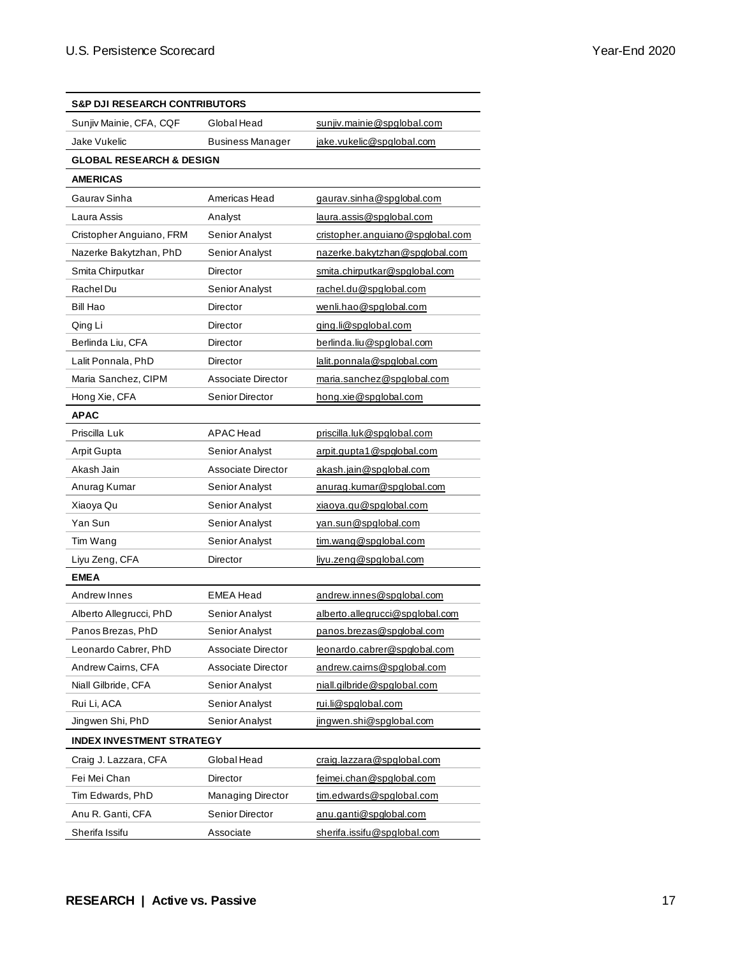| <b>S&amp;P DJI RESEARCH CONTRIBUTORS</b> |                           |                                  |  |  |  |  |  |
|------------------------------------------|---------------------------|----------------------------------|--|--|--|--|--|
| Sunjiv Mainie, CFA, CQF                  | Global Head               | sunjiv.mainie@spglobal.com       |  |  |  |  |  |
| Jake Vukelic                             | <b>Business Manager</b>   | jake.vukelic@spglobal.com        |  |  |  |  |  |
| <b>GLOBAL RESEARCH &amp; DESIGN</b>      |                           |                                  |  |  |  |  |  |
| <b>AMERICAS</b>                          |                           |                                  |  |  |  |  |  |
| Gaurav Sinha                             | Americas Head             | gaurav.sinha@spglobal.com        |  |  |  |  |  |
| Laura Assis                              | Analyst                   | laura.assis@spglobal.com         |  |  |  |  |  |
| Cristopher Anguiano, FRM                 | Senior Analyst            | cristopher.anguiano@spglobal.com |  |  |  |  |  |
| Nazerke Bakytzhan, PhD                   | Senior Analyst            | nazerke.bakytzhan@spglobal.com   |  |  |  |  |  |
| Smita Chirputkar                         | Director                  | smita.chirputkar@spqlobal.com    |  |  |  |  |  |
| Rachel Du                                | Senior Analyst            | <u>rachel.du@spglobal.com</u>    |  |  |  |  |  |
| Bill Hao                                 | Director                  | wenli.hao@spglobal.com           |  |  |  |  |  |
| Qing Li                                  | Director                  | ging.li@spglobal.com             |  |  |  |  |  |
| Berlinda Liu, CFA                        | Director                  | berlinda.liu@spglobal.com        |  |  |  |  |  |
| Lalit Ponnala, PhD                       | Director                  | lalit.ponnala@spglobal.com       |  |  |  |  |  |
| Maria Sanchez, CIPM                      | Associate Director        | maria.sanchez@spqlobal.com       |  |  |  |  |  |
| Hong Xie, CFA                            | Senior Director           | hong.xie@spglobal.com            |  |  |  |  |  |
| <b>APAC</b>                              |                           |                                  |  |  |  |  |  |
| Priscilla Luk                            | <b>APAC</b> Head          | priscilla.luk@spglobal.com       |  |  |  |  |  |
| Arpit Gupta                              | Senior Analyst            | arpit.qupta1@spqlobal.com        |  |  |  |  |  |
| Akash Jain                               | Associate Director        | akash.jain@spglobal.com          |  |  |  |  |  |
| Anurag Kumar                             | Senior Analyst            | anurag.kumar@spglobal.com        |  |  |  |  |  |
| Xiaoya Qu                                | Senior Analyst            | xiaoya.qu@spglobal.com           |  |  |  |  |  |
| Yan Sun                                  | Senior Analyst            | van.sun@spglobal.com             |  |  |  |  |  |
| Tim Wang                                 | Senior Analyst            | tim.wang@spglobal.com            |  |  |  |  |  |
| Liyu Zeng, CFA                           | Director                  | liyu.zeng@spglobal.com           |  |  |  |  |  |
| <b>EMEA</b>                              |                           |                                  |  |  |  |  |  |
| Andrew Innes                             | <b>EMEA Head</b>          | andrew.innes@spglobal.com        |  |  |  |  |  |
| Alberto Allegrucci, PhD                  | Senior Analyst            | alberto.allegrucci@spglobal.com  |  |  |  |  |  |
| Panos Brezas, PhD                        | Senior Analyst            | panos.brezas@spglobal.com        |  |  |  |  |  |
| Leonardo Cabrer, PhD                     | Associate Director        | leonardo.cabrer@spglobal.com     |  |  |  |  |  |
| Andrew Cairns, CFA                       | <b>Associate Director</b> | andrew.cairns@spglobal.com       |  |  |  |  |  |
| Niall Gilbride, CFA                      | Senior Analyst            | niall.gilbride@spglobal.com      |  |  |  |  |  |
| Rui Li, ACA                              | Senior Analyst            | rui.li@spglobal.com              |  |  |  |  |  |
| Jingwen Shi, PhD                         | Senior Analyst            | jingwen.shi@spglobal.com         |  |  |  |  |  |
| <b>INDEX INVESTMENT STRATEGY</b>         |                           |                                  |  |  |  |  |  |
| Craig J. Lazzara, CFA                    | Global Head               | craig.lazzara@spglobal.com       |  |  |  |  |  |
| Fei Mei Chan                             | Director                  | feimei.chan@spglobal.com         |  |  |  |  |  |
| Tim Edwards, PhD                         | Managing Director         | tim.edwards@spglobal.com         |  |  |  |  |  |
| Anu R. Ganti, CFA                        | Senior Director           | anu.ganti@spglobal.com           |  |  |  |  |  |
| Sherifa Issifu                           | Associate                 | sherifa.issifu@spglobal.com      |  |  |  |  |  |